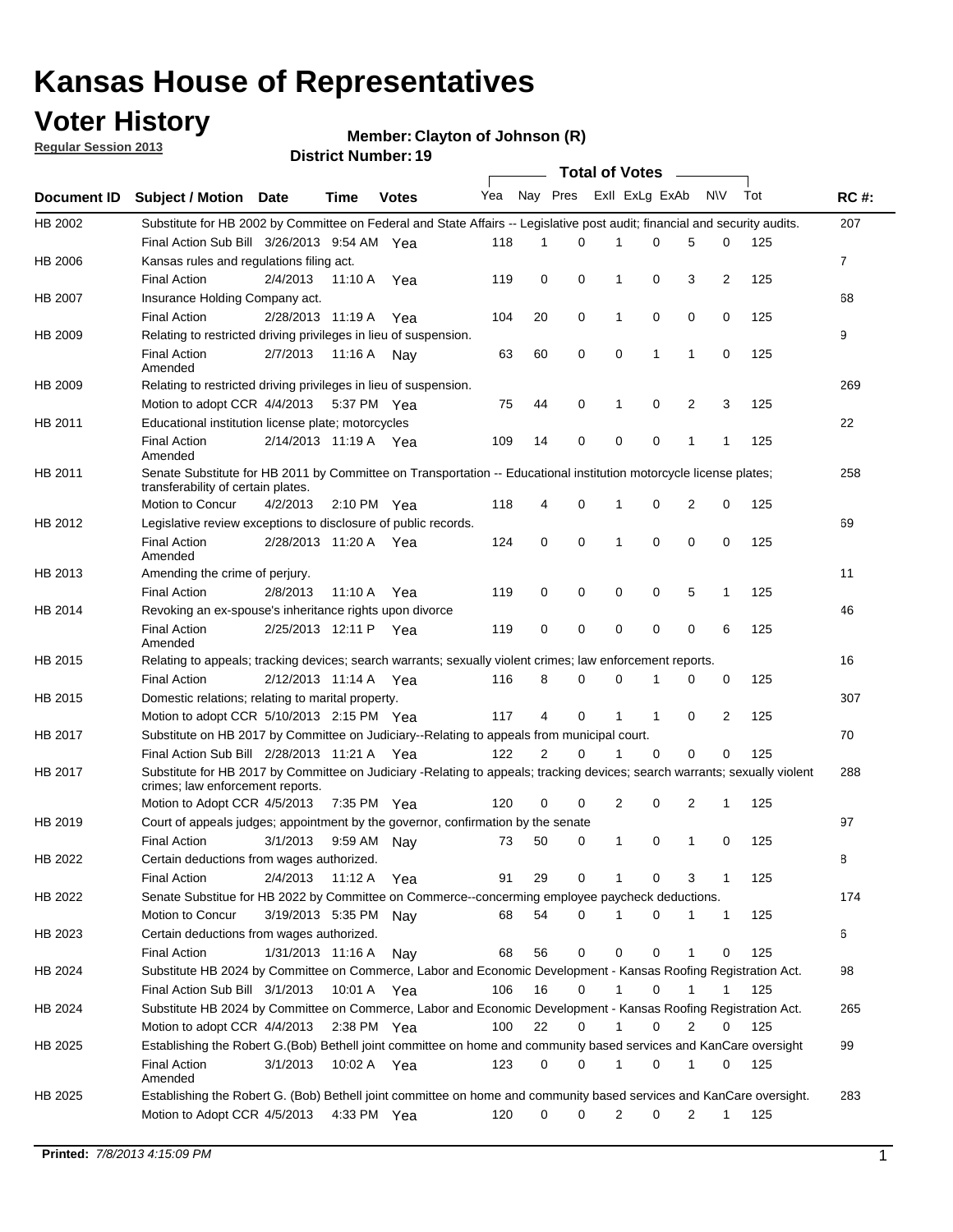## **Voter History**

**Member: Clayton of Johnson (R)** 

**Regular Session 2013**

|                    |                                                                                                                                                                |                       | טו הסעוווער ויטוווער  |              |              |    | Total of Votes – |              |                |                |              |     |                |
|--------------------|----------------------------------------------------------------------------------------------------------------------------------------------------------------|-----------------------|-----------------------|--------------|--------------|----|------------------|--------------|----------------|----------------|--------------|-----|----------------|
| <b>Document ID</b> | <b>Subject / Motion Date</b>                                                                                                                                   |                       | Time                  | <b>Votes</b> | Yea Nay Pres |    |                  |              | Exll ExLg ExAb |                | <b>NV</b>    | Tot | <b>RC#:</b>    |
| HB 2002            | Substitute for HB 2002 by Committee on Federal and State Affairs -- Legislative post audit; financial and security audits.                                     |                       |                       |              |              |    |                  |              |                |                |              |     | 207            |
|                    | Final Action Sub Bill 3/26/2013 9:54 AM Yea                                                                                                                    |                       |                       |              | 118          | 1  | $\Omega$         |              | 0              | 5              | 0            | 125 |                |
| HB 2006            | Kansas rules and regulations filing act.                                                                                                                       |                       |                       |              |              |    |                  |              |                |                |              |     | $\overline{7}$ |
|                    | <b>Final Action</b>                                                                                                                                            | 2/4/2013              | 11:10 A Yea           |              | 119          | 0  | 0                | 1            | 0              | 3              | 2            | 125 |                |
| HB 2007            | Insurance Holding Company act.                                                                                                                                 |                       |                       |              |              |    |                  |              |                |                |              |     | 68             |
|                    | <b>Final Action</b>                                                                                                                                            | 2/28/2013 11:19 A     |                       | Yea          | 104          | 20 | 0                | 1            | 0              | 0              | 0            | 125 |                |
| HB 2009            | Relating to restricted driving privileges in lieu of suspension.                                                                                               |                       |                       |              |              |    |                  |              |                |                |              |     | 9              |
|                    | <b>Final Action</b><br>Amended                                                                                                                                 | 2/7/2013              | 11:16 A Nay           |              | 63           | 60 | 0                | 0            | 1              | 1              | 0            | 125 |                |
| HB 2009            | Relating to restricted driving privileges in lieu of suspension.                                                                                               |                       |                       |              |              |    |                  |              |                |                |              |     | 269            |
|                    | Motion to adopt CCR 4/4/2013                                                                                                                                   |                       | 5:37 PM Yea           |              | 75           | 44 | 0                | 1            | 0              | 2              | 3            | 125 |                |
| HB 2011            | Educational institution license plate; motorcycles                                                                                                             |                       |                       |              |              |    |                  |              |                |                |              |     | 22             |
|                    | <b>Final Action</b><br>Amended                                                                                                                                 | 2/14/2013 11:19 A Yea |                       |              | 109          | 14 | 0                | 0            | 0              | 1              | 1            | 125 |                |
| HB 2011            | Senate Substitute for HB 2011 by Committee on Transportation -- Educational institution motorcycle license plates;                                             |                       |                       |              |              |    |                  |              |                |                |              |     | 258            |
|                    | transferability of certain plates.                                                                                                                             |                       |                       |              |              |    |                  |              |                |                |              |     |                |
|                    | Motion to Concur                                                                                                                                               | 4/2/2013              | $2:10 \text{ PM}$ Yea |              | 118          | 4  | 0                | $\mathbf 1$  | 0              | $\overline{2}$ | 0            | 125 |                |
| HB 2012            | Legislative review exceptions to disclosure of public records.                                                                                                 |                       |                       |              |              |    |                  |              |                |                |              |     | 69             |
|                    | <b>Final Action</b><br>Amended                                                                                                                                 | 2/28/2013 11:20 A Yea |                       |              | 124          | 0  | 0                | 1            | 0              | 0              | 0            | 125 |                |
| HB 2013            | Amending the crime of perjury.                                                                                                                                 |                       |                       |              |              |    |                  |              |                |                |              |     | 11             |
|                    | <b>Final Action</b>                                                                                                                                            | 2/8/2013              | 11:10 A               | Yea          | 119          | 0  | 0                | 0            | 0              | 5              | 1            | 125 |                |
| HB 2014            | Revoking an ex-spouse's inheritance rights upon divorce                                                                                                        |                       |                       |              |              |    |                  |              |                |                |              |     | 46             |
|                    | <b>Final Action</b><br>Amended                                                                                                                                 | 2/25/2013 12:11 P     |                       | Yea          | 119          | 0  | $\mathbf 0$      | 0            | 0              | 0              | 6            | 125 |                |
| HB 2015            | Relating to appeals; tracking devices; search warrants; sexually violent crimes; law enforcement reports.                                                      |                       |                       |              |              |    |                  |              |                |                |              |     | 16             |
|                    | <b>Final Action</b>                                                                                                                                            | 2/12/2013 11:14 A     |                       | Yea          | 116          | 8  | 0                | 0            | 1              | 0              | 0            | 125 |                |
| HB 2015            | Domestic relations; relating to marital property.                                                                                                              |                       |                       |              |              |    |                  |              |                |                |              |     | 307            |
|                    | Motion to adopt CCR 5/10/2013 2:15 PM Yea                                                                                                                      |                       |                       |              | 117          | 4  | 0                | $\mathbf{1}$ | $\mathbf{1}$   | 0              | 2            | 125 |                |
| HB 2017            | Substitute on HB 2017 by Committee on Judiciary--Relating to appeals from municipal court.                                                                     |                       |                       |              |              |    |                  |              |                |                |              |     | 70             |
|                    | Final Action Sub Bill 2/28/2013 11:21 A Yea                                                                                                                    |                       |                       |              | 122          | 2  | 0                | 1            | 0              | 0              | 0            | 125 |                |
| HB 2017            | Substitute for HB 2017 by Committee on Judiciary -Relating to appeals; tracking devices; search warrants; sexually violent<br>crimes; law enforcement reports. |                       |                       |              |              |    |                  |              |                |                |              |     | 288            |
|                    | Motion to Adopt CCR 4/5/2013                                                                                                                                   |                       | 7:35 PM Yea           |              | 120          | 0  | 0                | 2            | 0              | 2              | 1            | 125 |                |
| HB 2019            | Court of appeals judges; appointment by the governor, confirmation by the senate                                                                               |                       |                       |              |              |    |                  |              |                |                |              |     | 97             |
|                    | Final Action                                                                                                                                                   | 3/1/2013              | 9:59 AM Nay           |              | 73           | 50 | 0                | 1            | 0              | 1              | 0            | 125 |                |
| HB 2022            | Certain deductions from wages authorized.                                                                                                                      |                       |                       |              |              |    |                  |              |                |                |              |     | 8              |
|                    | <b>Final Action</b>                                                                                                                                            | 2/4/2013              | 11:12 A               | Yea          | 91           | 29 | 0                |              | 0              | 3              | 1            | 125 |                |
| HB 2022            | Senate Substitue for HB 2022 by Committee on Commerce--concerming employee paycheck deductions.                                                                |                       |                       |              |              |    |                  |              |                |                |              |     | 174            |
|                    | Motion to Concur                                                                                                                                               | 3/19/2013 5:35 PM Nay |                       |              | 68           | 54 | 0                | 1            | 0              | 1              | $\mathbf{1}$ | 125 |                |
| HB 2023            | Certain deductions from wages authorized.                                                                                                                      |                       |                       |              |              |    |                  |              |                |                |              |     | 6              |
|                    | <b>Final Action</b>                                                                                                                                            | 1/31/2013 11:16 A     |                       | Nay          | 68           | 56 | 0                | 0            | 0              | 1              | 0            | 125 |                |
| HB 2024            | Substitute HB 2024 by Committee on Commerce, Labor and Economic Development - Kansas Roofing Registration Act.                                                 |                       |                       |              |              |    |                  |              |                |                |              |     | 98             |
|                    | Final Action Sub Bill 3/1/2013                                                                                                                                 |                       | 10:01 A Yea           |              | 106          | 16 | 0                | 1            | 0              | 1              | 1            | 125 |                |
| HB 2024            | Substitute HB 2024 by Committee on Commerce, Labor and Economic Development - Kansas Roofing Registration Act.                                                 |                       |                       |              |              |    |                  |              |                |                |              |     | 265            |
|                    | Motion to adopt CCR 4/4/2013                                                                                                                                   |                       | 2:38 PM Yea           |              | 100          | 22 | 0                | 1            | 0              | 2              | 0            | 125 |                |
| HB 2025            | Establishing the Robert G.(Bob) Bethell joint committee on home and community based services and KanCare oversight                                             |                       |                       |              |              |    |                  |              |                |                |              |     | 99             |
|                    | <b>Final Action</b>                                                                                                                                            | 3/1/2013              | 10:02 A Yea           |              | 123          | 0  | 0                | $\mathbf{1}$ | 0              | 1              | 0            | 125 |                |
|                    | Amended                                                                                                                                                        |                       |                       |              |              |    |                  |              |                |                |              |     |                |
| HB 2025            | Establishing the Robert G. (Bob) Bethell joint committee on home and community based services and KanCare oversight.                                           |                       |                       |              |              |    |                  |              |                |                |              |     | 283            |
|                    | Motion to Adopt CCR 4/5/2013                                                                                                                                   |                       | 4:33 PM Yea           |              | 120          | 0  | 0                | 2            | 0              | 2              | $\mathbf{1}$ | 125 |                |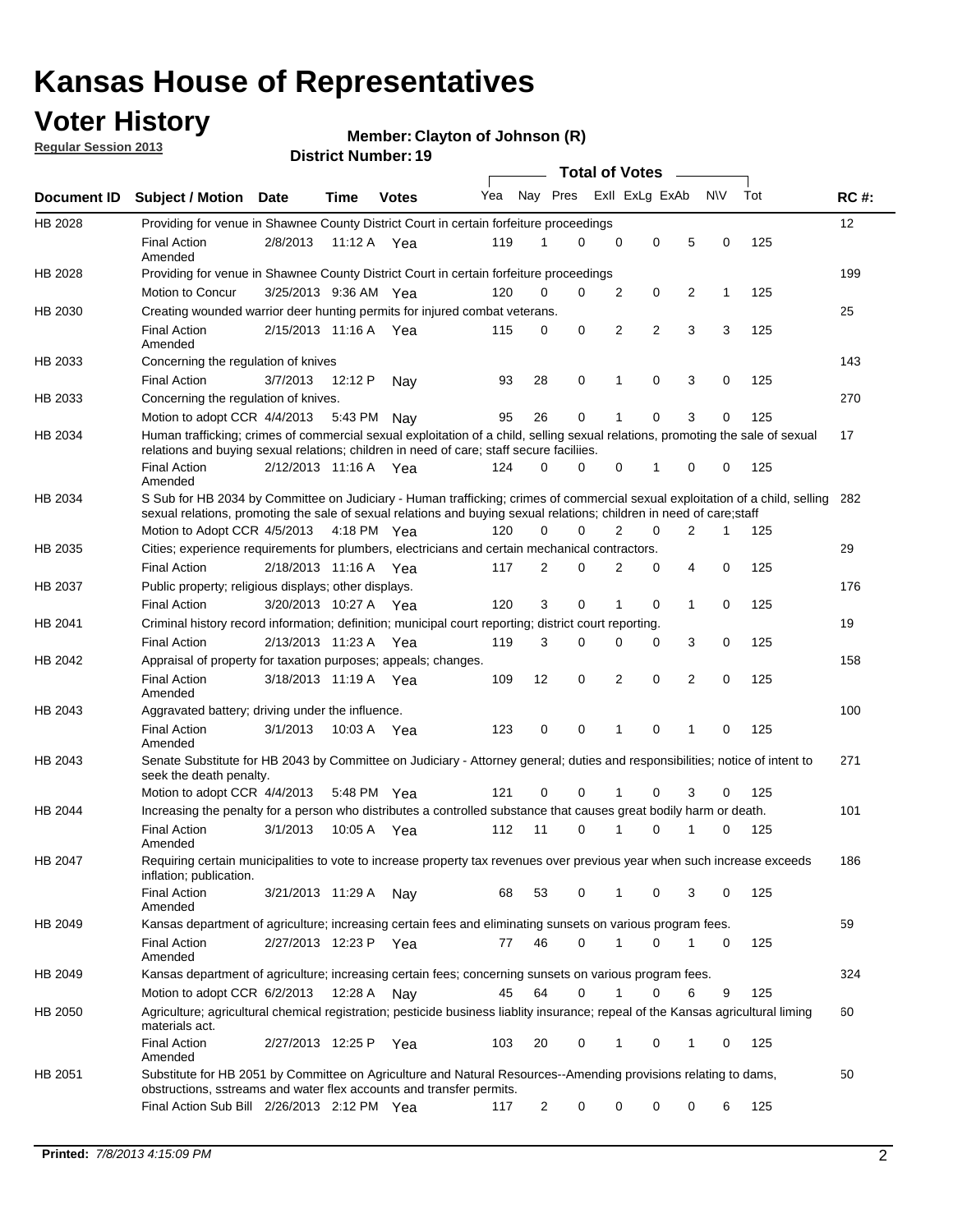## **Voter History**

**Regular Session 2013**

#### **Member: Clayton of Johnson (R)**

|                    |                                                                                                                                                                                                                                                        |                       |             | טו . וסעווואר ועוווסוע |     |                | <b>Total of Votes</b>   |                |                |                |             |     |             |
|--------------------|--------------------------------------------------------------------------------------------------------------------------------------------------------------------------------------------------------------------------------------------------------|-----------------------|-------------|------------------------|-----|----------------|-------------------------|----------------|----------------|----------------|-------------|-----|-------------|
| <b>Document ID</b> | <b>Subject / Motion</b>                                                                                                                                                                                                                                | Date                  | Time        | <b>Votes</b>           | Yea |                | Nay Pres Exll ExLg ExAb |                |                |                | <b>NV</b>   | Tot | <b>RC#:</b> |
| HB 2028            | Providing for venue in Shawnee County District Court in certain forfeiture proceedings                                                                                                                                                                 |                       |             |                        |     |                |                         |                |                |                |             |     | 12          |
|                    | <b>Final Action</b><br>Amended                                                                                                                                                                                                                         | 2/8/2013              | 11:12 A Yea |                        | 119 | 1              | 0                       | $\mathbf 0$    | $\mathbf 0$    | 5              | 0           | 125 |             |
| HB 2028            | Providing for venue in Shawnee County District Court in certain forfeiture proceedings                                                                                                                                                                 |                       |             |                        |     |                |                         |                |                |                |             |     | 199         |
|                    | Motion to Concur                                                                                                                                                                                                                                       | 3/25/2013 9:36 AM Yea |             |                        | 120 | 0              | 0                       | $\overline{2}$ | 0              | 2              | 1           | 125 |             |
| HB 2030            | Creating wounded warrior deer hunting permits for injured combat veterans.                                                                                                                                                                             |                       |             |                        |     |                |                         |                |                |                |             |     | 25          |
|                    | <b>Final Action</b><br>Amended                                                                                                                                                                                                                         | 2/15/2013 11:16 A     |             | Yea                    | 115 | 0              | $\mathbf 0$             | $\overline{2}$ | $\overline{2}$ | 3              | 3           | 125 |             |
| HB 2033            | Concerning the regulation of knives                                                                                                                                                                                                                    |                       |             |                        |     |                |                         |                |                |                |             |     | 143         |
|                    | <b>Final Action</b>                                                                                                                                                                                                                                    | 3/7/2013              | 12:12 P     | Nav                    | 93  | 28             | 0                       | 1              | 0              | 3              | 0           | 125 |             |
| HB 2033            | Concerning the regulation of knives.                                                                                                                                                                                                                   |                       |             |                        |     |                |                         |                |                |                |             |     | 270         |
|                    | Motion to adopt CCR $4/4/2013$ 5:43 PM                                                                                                                                                                                                                 |                       |             | Nav                    | 95  | 26             | $\mathbf 0$             | 1              | $\Omega$       | 3              | 0           | 125 |             |
| HB 2034            | Human trafficking; crimes of commercial sexual exploitation of a child, selling sexual relations, promoting the sale of sexual<br>relations and buying sexual relations; children in need of care; staff secure faciliies.                             |                       |             |                        |     |                |                         |                |                |                |             |     | 17          |
|                    | <b>Final Action</b><br>Amended                                                                                                                                                                                                                         | 2/12/2013 11:16 A Yea |             |                        | 124 | $\Omega$       | 0                       | $\Omega$       | 1              | $\Omega$       | 0           | 125 |             |
| HB 2034            | S Sub for HB 2034 by Committee on Judiciary - Human trafficking; crimes of commercial sexual exploitation of a child, selling<br>sexual relations, promoting the sale of sexual relations and buying sexual relations; children in need of care; staff |                       |             |                        |     |                |                         |                |                |                |             |     | 282         |
|                    | Motion to Adopt CCR 4/5/2013 4:18 PM Yea                                                                                                                                                                                                               |                       |             |                        | 120 | 0              | $\Omega$                | 2              | 0              | 2              | 1           | 125 |             |
| HB 2035            | Cities; experience requirements for plumbers, electricians and certain mechanical contractors.                                                                                                                                                         |                       |             |                        |     |                |                         |                |                |                |             |     | 29          |
|                    | <b>Final Action</b>                                                                                                                                                                                                                                    | 2/18/2013 11:16 A     |             | Yea                    | 117 | 2              | 0                       | 2              | $\mathbf 0$    | 4              | $\mathbf 0$ | 125 |             |
| HB 2037            | Public property; religious displays; other displays.                                                                                                                                                                                                   |                       |             |                        |     |                |                         |                |                |                |             |     | 176         |
|                    | <b>Final Action</b>                                                                                                                                                                                                                                    | 3/20/2013 10:27 A Yea |             |                        | 120 | 3              | $\mathbf 0$             | 1              | 0              | 1              | 0           | 125 |             |
| HB 2041            | Criminal history record information; definition; municipal court reporting; district court reporting.                                                                                                                                                  |                       |             |                        |     |                |                         |                |                |                |             |     | 19          |
|                    | <b>Final Action</b>                                                                                                                                                                                                                                    | 2/13/2013 11:23 A     |             | Yea                    | 119 | 3              | 0                       | 0              | 0              | 3              | 0           | 125 |             |
| HB 2042            | Appraisal of property for taxation purposes; appeals; changes.                                                                                                                                                                                         |                       |             |                        |     |                |                         |                |                |                |             |     | 158         |
|                    | <b>Final Action</b><br>Amended                                                                                                                                                                                                                         | 3/18/2013 11:19 A Yea |             |                        | 109 | 12             | 0                       | 2              | $\mathbf 0$    | $\overline{2}$ | 0           | 125 |             |
| HB 2043            | Aggravated battery; driving under the influence.                                                                                                                                                                                                       |                       |             |                        |     |                |                         |                |                |                |             |     | 100         |
|                    | <b>Final Action</b><br>Amended                                                                                                                                                                                                                         | 3/1/2013              | 10:03 A Yea |                        | 123 | $\mathbf 0$    | 0                       | 1              | $\Omega$       | 1              | 0           | 125 |             |
| HB 2043            | Senate Substitute for HB 2043 by Committee on Judiciary - Attorney general; duties and responsibilities; notice of intent to<br>seek the death penalty.                                                                                                |                       |             |                        |     |                |                         |                |                |                |             |     | 271         |
|                    | Motion to adopt CCR 4/4/2013                                                                                                                                                                                                                           |                       | 5:48 PM     | Yea                    | 121 | $\mathbf 0$    | $\Omega$                | 1              | $\Omega$       | 3              | 0           | 125 |             |
| HB 2044            | Increasing the penalty for a person who distributes a controlled substance that causes great bodily harm or death.                                                                                                                                     |                       |             |                        |     |                |                         |                |                |                |             |     | 101         |
|                    | <b>Final Action</b><br>Amended                                                                                                                                                                                                                         | 3/1/2013              | 10:05 A     | Yea                    | 112 | 11             | 0                       | 1              | 0              |                | 0           | 125 |             |
| HB 2047            | Requiring certain municipalities to vote to increase property tax revenues over previous year when such increase exceeds<br>inflation; publication.                                                                                                    |                       |             |                        |     |                |                         |                |                |                |             |     | 186         |
|                    | <b>Final Action</b><br>Amended                                                                                                                                                                                                                         | 3/21/2013 11:29 A     |             | Nav                    | 68  | 53             | 0                       | 1              | 0              | 3              | 0           | 125 |             |
| HB 2049            | Kansas department of agriculture; increasing certain fees and eliminating sunsets on various program fees.                                                                                                                                             |                       |             |                        |     |                |                         |                |                |                |             |     | 59          |
|                    | <b>Final Action</b><br>Amended                                                                                                                                                                                                                         | 2/27/2013 12:23 P Yea |             |                        | 77  | 46             | 0                       | 1              | 0              |                | 0           | 125 |             |
| HB 2049            | Kansas department of agriculture; increasing certain fees; concerning sunsets on various program fees.                                                                                                                                                 |                       |             |                        |     |                |                         |                |                |                |             |     | 324         |
|                    | Motion to adopt CCR 6/2/2013                                                                                                                                                                                                                           |                       | 12:28 A     | Nav                    | 45  | 64             | 0                       | 1              | 0              | 6              | 9           | 125 |             |
| HB 2050            | Agriculture; agricultural chemical registration; pesticide business liablity insurance; repeal of the Kansas agricultural liming<br>materials act.                                                                                                     |                       |             |                        |     |                |                         |                |                |                |             |     | 60          |
|                    | <b>Final Action</b><br>Amended                                                                                                                                                                                                                         | 2/27/2013 12:25 P     |             | Yea                    | 103 | 20             | 0                       | 1              | 0              | 1              | 0           | 125 |             |
| HB 2051            | Substitute for HB 2051 by Committee on Agriculture and Natural Resources--Amending provisions relating to dams,<br>obstructions, sstreams and water flex accounts and transfer permits.                                                                |                       |             |                        |     |                |                         |                |                |                |             |     | 50          |
|                    | Final Action Sub Bill 2/26/2013 2:12 PM Yea                                                                                                                                                                                                            |                       |             |                        | 117 | $\overline{c}$ | 0                       | 0              | 0              | 0              | 6           | 125 |             |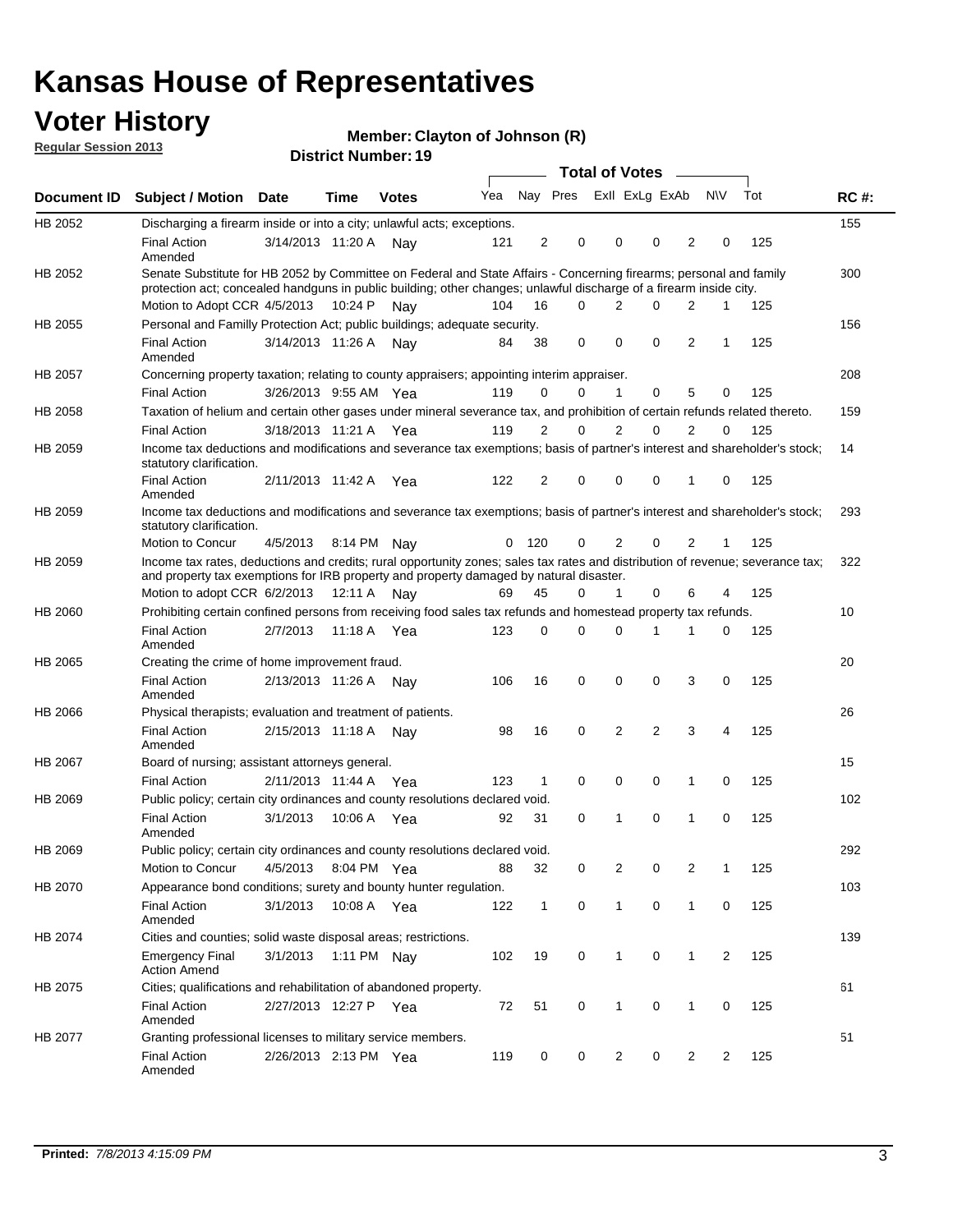## **Voter History**

**Member: Clayton of Johnson (R)** 

**Regular Session 2013**

|                |                                                                                                                                                                                                                                          |                       |         | טו היוסטוווער ויטוווער |     |                |                         | <b>Total of Votes</b> |          |                |           |     |             |
|----------------|------------------------------------------------------------------------------------------------------------------------------------------------------------------------------------------------------------------------------------------|-----------------------|---------|------------------------|-----|----------------|-------------------------|-----------------------|----------|----------------|-----------|-----|-------------|
| Document ID    | <b>Subject / Motion</b>                                                                                                                                                                                                                  | Date                  | Time    | <b>Votes</b>           | Yea |                | Nay Pres Exll ExLg ExAb |                       |          |                | <b>NV</b> | Tot | <b>RC#:</b> |
| HB 2052        | Discharging a firearm inside or into a city; unlawful acts; exceptions.                                                                                                                                                                  |                       |         |                        |     |                |                         |                       |          |                |           |     | 155         |
|                | <b>Final Action</b><br>Amended                                                                                                                                                                                                           | 3/14/2013 11:20 A     |         | Nav                    | 121 | 2              | 0                       | 0                     | 0        | $\overline{2}$ | 0         | 125 |             |
| HB 2052        | Senate Substitute for HB 2052 by Committee on Federal and State Affairs - Concerning firearms; personal and family<br>protection act; concealed handguns in public building; other changes; unlawful discharge of a firearm inside city. |                       |         |                        |     |                |                         |                       |          |                |           |     | 300         |
|                | Motion to Adopt CCR 4/5/2013                                                                                                                                                                                                             |                       | 10:24 P | Nav                    | 104 | 16             | 0                       | 2                     | $\Omega$ | 2              | 1         | 125 |             |
| HB 2055        | Personal and Familly Protection Act; public buildings; adequate security.                                                                                                                                                                |                       |         |                        |     |                |                         |                       |          |                |           |     | 156         |
|                | <b>Final Action</b><br>Amended                                                                                                                                                                                                           | 3/14/2013 11:26 A     |         | Nav                    | 84  | 38             | 0                       | 0                     | 0        | $\overline{2}$ | 1         | 125 |             |
| HB 2057        | Concerning property taxation; relating to county appraisers; appointing interim appraiser.                                                                                                                                               |                       |         |                        |     |                |                         |                       |          |                |           |     | 208         |
|                | <b>Final Action</b>                                                                                                                                                                                                                      | 3/26/2013 9:55 AM Yea |         |                        | 119 | 0              | 0                       | 1                     | 0        | 5              | 0         | 125 |             |
| HB 2058        | Taxation of helium and certain other gases under mineral severance tax, and prohibition of certain refunds related thereto.                                                                                                              |                       |         |                        |     |                |                         |                       |          |                |           |     | 159         |
|                | <b>Final Action</b>                                                                                                                                                                                                                      | 3/18/2013 11:21 A Yea |         |                        | 119 | 2              | 0                       | 2                     | $\Omega$ | $\overline{2}$ | $\Omega$  | 125 |             |
| HB 2059        | Income tax deductions and modifications and severance tax exemptions; basis of partner's interest and shareholder's stock;<br>statutory clarification.                                                                                   |                       |         |                        |     |                |                         |                       |          |                |           |     | 14          |
|                | <b>Final Action</b><br>Amended                                                                                                                                                                                                           | 2/11/2013 11:42 A     |         | Yea                    | 122 | $\overline{2}$ | 0                       | 0                     | 0        | 1              | 0         | 125 |             |
| HB 2059        | Income tax deductions and modifications and severance tax exemptions; basis of partner's interest and shareholder's stock;<br>statutory clarification.                                                                                   |                       |         |                        |     |                |                         |                       |          |                |           |     | 293         |
|                | Motion to Concur                                                                                                                                                                                                                         | 4/5/2013              |         | 8:14 PM Nay            | 0   | 120            | 0                       | $\overline{2}$        | 0        | $\overline{2}$ | 1         | 125 |             |
| HB 2059        | Income tax rates, deductions and credits; rural opportunity zones; sales tax rates and distribution of revenue; severance tax;<br>and property tax exemptions for IRB property and property damaged by natural disaster.                 |                       |         |                        |     |                |                         |                       |          |                |           |     | 322         |
|                | Motion to adopt CCR 6/2/2013                                                                                                                                                                                                             |                       | 12:11 A | Nav                    | 69  | 45             | 0                       | $\mathbf{1}$          | 0        | 6              | 4         | 125 |             |
| <b>HB 2060</b> | Prohibiting certain confined persons from receiving food sales tax refunds and homestead property tax refunds.                                                                                                                           |                       |         |                        |     |                |                         |                       |          |                |           |     | 10          |
|                | <b>Final Action</b><br>Amended                                                                                                                                                                                                           | 2/7/2013              | 11:18 A | Yea                    | 123 | $\mathbf 0$    | 0                       | 0                     | 1        | 1              | 0         | 125 |             |
| HB 2065        | Creating the crime of home improvement fraud.                                                                                                                                                                                            |                       |         |                        |     |                |                         |                       |          |                |           |     | 20          |
|                | <b>Final Action</b><br>Amended                                                                                                                                                                                                           | 2/13/2013 11:26 A Nav |         |                        | 106 | 16             | 0                       | 0                     | 0        | 3              | 0         | 125 |             |
| <b>HB 2066</b> | Physical therapists; evaluation and treatment of patients.                                                                                                                                                                               |                       |         |                        |     |                |                         |                       |          |                |           |     | 26          |
|                | <b>Final Action</b><br>Amended                                                                                                                                                                                                           | 2/15/2013 11:18 A     |         | Nav                    | 98  | 16             | $\mathbf 0$             | $\overline{2}$        | 2        | 3              | 4         | 125 |             |
| HB 2067        | Board of nursing; assistant attorneys general.                                                                                                                                                                                           |                       |         |                        |     |                |                         |                       |          |                |           |     | 15          |
|                | <b>Final Action</b>                                                                                                                                                                                                                      | 2/11/2013 11:44 A Yea |         |                        | 123 | $\mathbf{1}$   | 0                       | 0                     | 0        | 1              | 0         | 125 |             |
| HB 2069        | Public policy; certain city ordinances and county resolutions declared void.                                                                                                                                                             |                       |         |                        |     |                |                         |                       |          |                |           |     | 102         |
|                | <b>Final Action</b><br>Amended                                                                                                                                                                                                           | 3/1/2013              | 10:06 A | Yea                    | 92  | 31             | $\Omega$                | 1                     | 0        | 1              | 0         | 125 |             |
| HB 2069        | Public policy; certain city ordinances and county resolutions declared void.                                                                                                                                                             |                       |         |                        |     |                |                         |                       |          |                |           |     | 292         |
|                | Motion to Concur                                                                                                                                                                                                                         | 4/5/2013              |         | 8:04 PM Yea            | 88  | 32             | 0                       | 2                     | 0        | 2              | 1         | 125 |             |
| HB 2070        | Appearance bond conditions; surety and bounty hunter regulation.                                                                                                                                                                         |                       |         |                        |     |                |                         |                       |          |                |           |     | 103         |
|                | <b>Final Action</b><br>Amended                                                                                                                                                                                                           | 3/1/2013              |         | 10:08 A Yea            | 122 | $\mathbf{1}$   | 0                       | $\mathbf{1}$          | 0        | $\mathbf{1}$   | 0         | 125 |             |
| HB 2074        | Cities and counties; solid waste disposal areas; restrictions.                                                                                                                                                                           |                       |         |                        |     |                |                         |                       |          |                |           |     | 139         |
|                | <b>Emergency Final</b><br><b>Action Amend</b>                                                                                                                                                                                            | 3/1/2013              |         | 1:11 PM Nay            | 102 | 19             | 0                       | 1                     | 0        | $\mathbf{1}$   | 2         | 125 |             |
| HB 2075        | Cities; qualifications and rehabilitation of abandoned property.                                                                                                                                                                         |                       |         |                        |     |                |                         |                       |          |                |           |     | 61          |
|                | <b>Final Action</b><br>Amended                                                                                                                                                                                                           | 2/27/2013 12:27 P Yea |         |                        | 72  | 51             | 0                       | 1                     | 0        | 1              | 0         | 125 |             |
| HB 2077        | Granting professional licenses to military service members.<br><b>Final Action</b><br>Amended                                                                                                                                            | 2/26/2013 2:13 PM Yea |         |                        | 119 | 0              | 0                       | 2                     | 0        | 2              | 2         | 125 | 51          |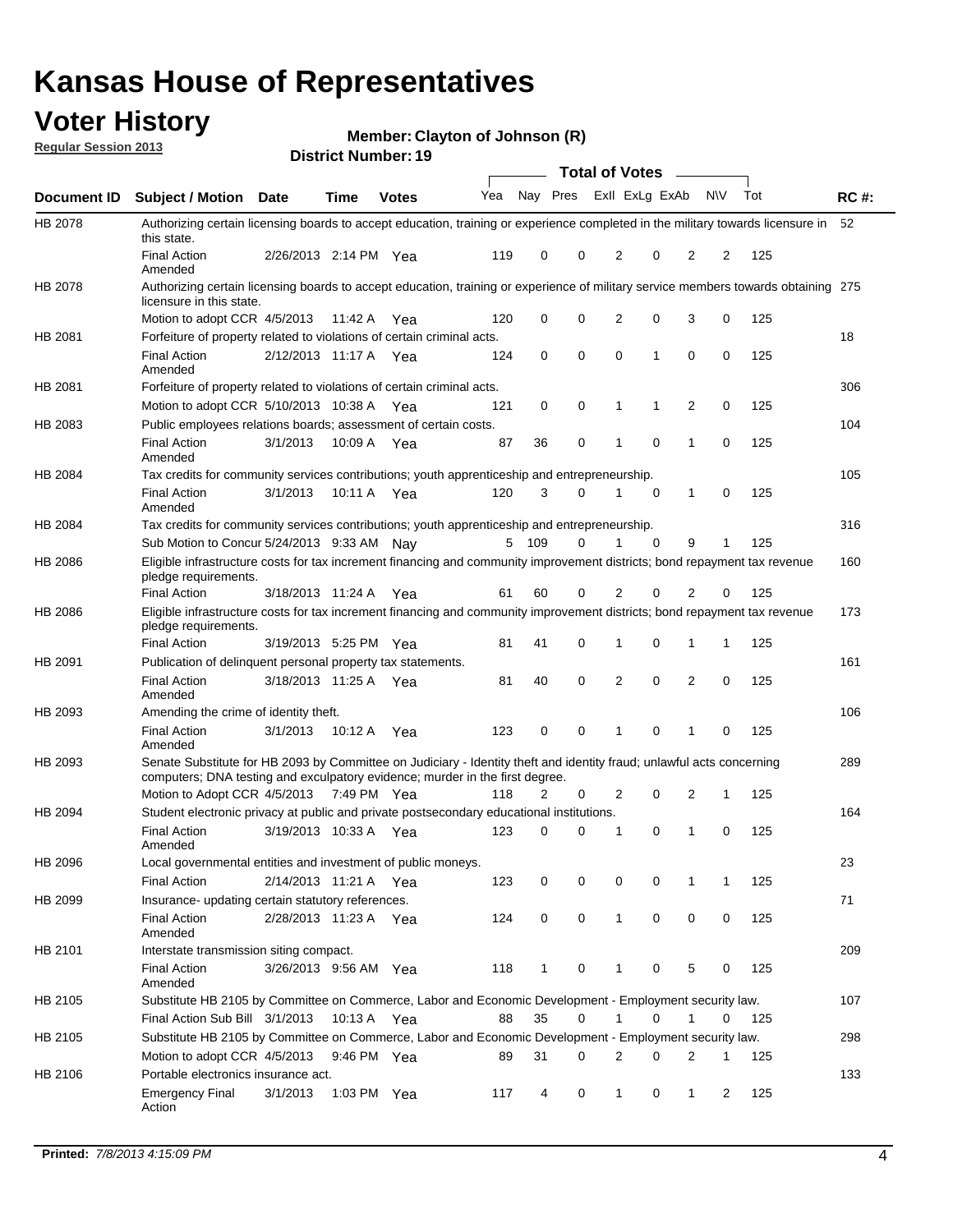## **Voter History**

**Member: Clayton of Johnson (R)** 

**Regular Session 2013**

|                    |                                                                                                                                                                                                       |                       |             | 3 ו וסטוווטנו שנו וסוש |     |              |             | <b>Total of Votes</b> |   | $\sim$         |           |     |             |
|--------------------|-------------------------------------------------------------------------------------------------------------------------------------------------------------------------------------------------------|-----------------------|-------------|------------------------|-----|--------------|-------------|-----------------------|---|----------------|-----------|-----|-------------|
| <b>Document ID</b> | <b>Subject / Motion Date</b>                                                                                                                                                                          |                       | <b>Time</b> | <b>Votes</b>           | Yea | Nay Pres     |             | Exll ExLg ExAb        |   |                | <b>NV</b> | Tot | <b>RC#:</b> |
| HB 2078            | Authorizing certain licensing boards to accept education, training or experience completed in the military towards licensure in<br>this state.                                                        |                       |             |                        |     |              |             |                       |   |                |           |     | 52          |
|                    | <b>Final Action</b><br>Amended                                                                                                                                                                        | 2/26/2013 2:14 PM Yea |             |                        | 119 | 0            | 0           | 2                     | 0 | 2              | 2         | 125 |             |
| HB 2078            | Authorizing certain licensing boards to accept education, training or experience of military service members towards obtaining 275<br>licensure in this state.                                        |                       |             |                        |     |              |             |                       |   |                |           |     |             |
|                    | Motion to adopt CCR 4/5/2013                                                                                                                                                                          |                       | 11:42 A     | Yea                    | 120 | 0            | $\mathbf 0$ | $\overline{2}$        | 0 | 3              | 0         | 125 |             |
| HB 2081            | Forfeiture of property related to violations of certain criminal acts.                                                                                                                                |                       |             |                        |     |              |             |                       |   |                |           |     | 18          |
|                    | <b>Final Action</b><br>Amended                                                                                                                                                                        | 2/12/2013 11:17 A Yea |             |                        | 124 | 0            | 0           | $\Omega$              | 1 | 0              | 0         | 125 |             |
| HB 2081            | Forfeiture of property related to violations of certain criminal acts.                                                                                                                                |                       |             |                        |     |              |             |                       |   |                |           |     | 306         |
|                    | Motion to adopt CCR 5/10/2013 10:38 A                                                                                                                                                                 |                       |             | Yea                    | 121 | 0            | 0           | 1                     | 1 | 2              | 0         | 125 |             |
| HB 2083            | Public employees relations boards; assessment of certain costs.                                                                                                                                       |                       |             |                        |     |              |             |                       |   |                |           |     | 104         |
|                    | <b>Final Action</b><br>Amended                                                                                                                                                                        | 3/1/2013              | 10:09 A     | Yea                    | 87  | 36           | 0           | 1                     | 0 | 1              | 0         | 125 |             |
| HB 2084            | Tax credits for community services contributions; youth apprenticeship and entrepreneurship.                                                                                                          |                       |             |                        |     |              |             |                       |   |                |           |     | 105         |
|                    | <b>Final Action</b><br>Amended                                                                                                                                                                        | 3/1/2013              | 10:11 A     | Yea                    | 120 | 3            | 0           |                       | 0 | $\mathbf{1}$   | 0         | 125 |             |
| HB 2084            | Tax credits for community services contributions; youth apprenticeship and entrepreneurship.                                                                                                          |                       |             |                        |     |              |             |                       |   |                |           |     | 316         |
|                    | Sub Motion to Concur 5/24/2013 9:33 AM Nay                                                                                                                                                            |                       |             |                        | 5   | - 109        | 0           | 1                     | 0 | 9              | 1         | 125 |             |
| HB 2086            | Eligible infrastructure costs for tax increment financing and community improvement districts; bond repayment tax revenue<br>pledge requirements.                                                     |                       |             |                        |     |              |             |                       |   |                |           |     | 160         |
|                    | <b>Final Action</b>                                                                                                                                                                                   | 3/18/2013 11:24 A     |             | Yea                    | 61  | 60           | 0           | 2                     | 0 | 2              | 0         | 125 |             |
| HB 2086            | Eligible infrastructure costs for tax increment financing and community improvement districts; bond repayment tax revenue<br>pledge requirements.                                                     |                       |             |                        |     |              |             |                       |   |                |           |     | 173         |
|                    | <b>Final Action</b>                                                                                                                                                                                   | 3/19/2013 5:25 PM     |             | Yea                    | 81  | 41           | 0           | 1                     | 0 | 1              | 1         | 125 |             |
| HB 2091            | Publication of delinquent personal property tax statements.                                                                                                                                           |                       |             |                        |     |              |             |                       |   |                |           |     | 161         |
|                    | <b>Final Action</b><br>Amended                                                                                                                                                                        | 3/18/2013 11:25 A     |             | Yea                    | 81  | 40           | 0           | 2                     | 0 | $\overline{2}$ | 0         | 125 |             |
| HB 2093            | Amending the crime of identity theft.                                                                                                                                                                 |                       |             |                        |     |              |             |                       |   |                |           |     | 106         |
|                    | <b>Final Action</b><br>Amended                                                                                                                                                                        | 3/1/2013              | 10:12 A     | Yea                    | 123 | 0            | $\Omega$    | 1                     | 0 | 1              | 0         | 125 |             |
| HB 2093            | Senate Substitute for HB 2093 by Committee on Judiciary - Identity theft and identity fraud; unlawful acts concerning<br>computers; DNA testing and exculpatory evidence; murder in the first degree. |                       |             |                        |     |              |             |                       |   |                |           |     | 289         |
|                    | Motion to Adopt CCR 4/5/2013 7:49 PM Yea                                                                                                                                                              |                       |             |                        | 118 | 2            | 0           | 2                     | 0 | 2              | 1         | 125 |             |
| HB 2094            | Student electronic privacy at public and private postsecondary educational institutions.                                                                                                              |                       |             |                        |     |              |             |                       |   |                |           |     | 164         |
|                    | <b>Final Action</b><br>Amended                                                                                                                                                                        | 3/19/2013 10:33 A     |             | Yea                    | 123 | 0            | 0           | 1                     | 0 | 1              | 0         | 125 |             |
| HB 2096            | Local governmental entities and investment of public moneys.                                                                                                                                          |                       |             |                        |     |              |             |                       |   |                |           |     | 23          |
|                    | <b>Final Action</b>                                                                                                                                                                                   | 2/14/2013 11:21 A     |             | Yea                    | 123 | 0            | 0           | 0                     | 0 | 1              | 1         | 125 |             |
| HB 2099            | Insurance- updating certain statutory references.                                                                                                                                                     |                       |             |                        |     |              |             |                       |   |                |           |     | 71          |
|                    | <b>Final Action</b><br>Amended                                                                                                                                                                        | 2/28/2013 11:23 A     |             | Yea                    | 124 | 0            | 0           | 1                     | 0 | 0              | 0         | 125 |             |
| HB 2101            | Interstate transmission siting compact.                                                                                                                                                               |                       |             |                        |     |              |             |                       |   |                |           |     | 209         |
|                    | Final Action<br>Amended                                                                                                                                                                               | 3/26/2013 9:56 AM Yea |             |                        | 118 | $\mathbf{1}$ | 0           | 1                     | 0 | 5              | 0         | 125 |             |
| HB 2105            | Substitute HB 2105 by Committee on Commerce, Labor and Economic Development - Employment security law.                                                                                                |                       |             |                        |     |              |             |                       |   |                |           |     | 107         |
|                    | Final Action Sub Bill 3/1/2013                                                                                                                                                                        |                       | 10:13 A Yea |                        | 88  | 35           | 0           |                       | 0 | 1              | 0         | 125 |             |
| HB 2105            | Substitute HB 2105 by Committee on Commerce, Labor and Economic Development - Employment security law.                                                                                                |                       |             |                        |     |              |             |                       |   |                |           |     | 298         |
|                    | Motion to adopt CCR 4/5/2013                                                                                                                                                                          |                       | 9:46 PM Yea |                        | 89  | 31           | 0           | 2                     | 0 | 2              | 1         | 125 |             |
| HB 2106            | Portable electronics insurance act.                                                                                                                                                                   |                       |             |                        |     |              |             |                       |   |                |           |     | 133         |
|                    | <b>Emergency Final</b><br>Action                                                                                                                                                                      | 3/1/2013              | 1:03 PM Yea |                        | 117 | 4            | 0           | $\mathbf{1}$          | 0 | $\mathbf{1}$   | 2         | 125 |             |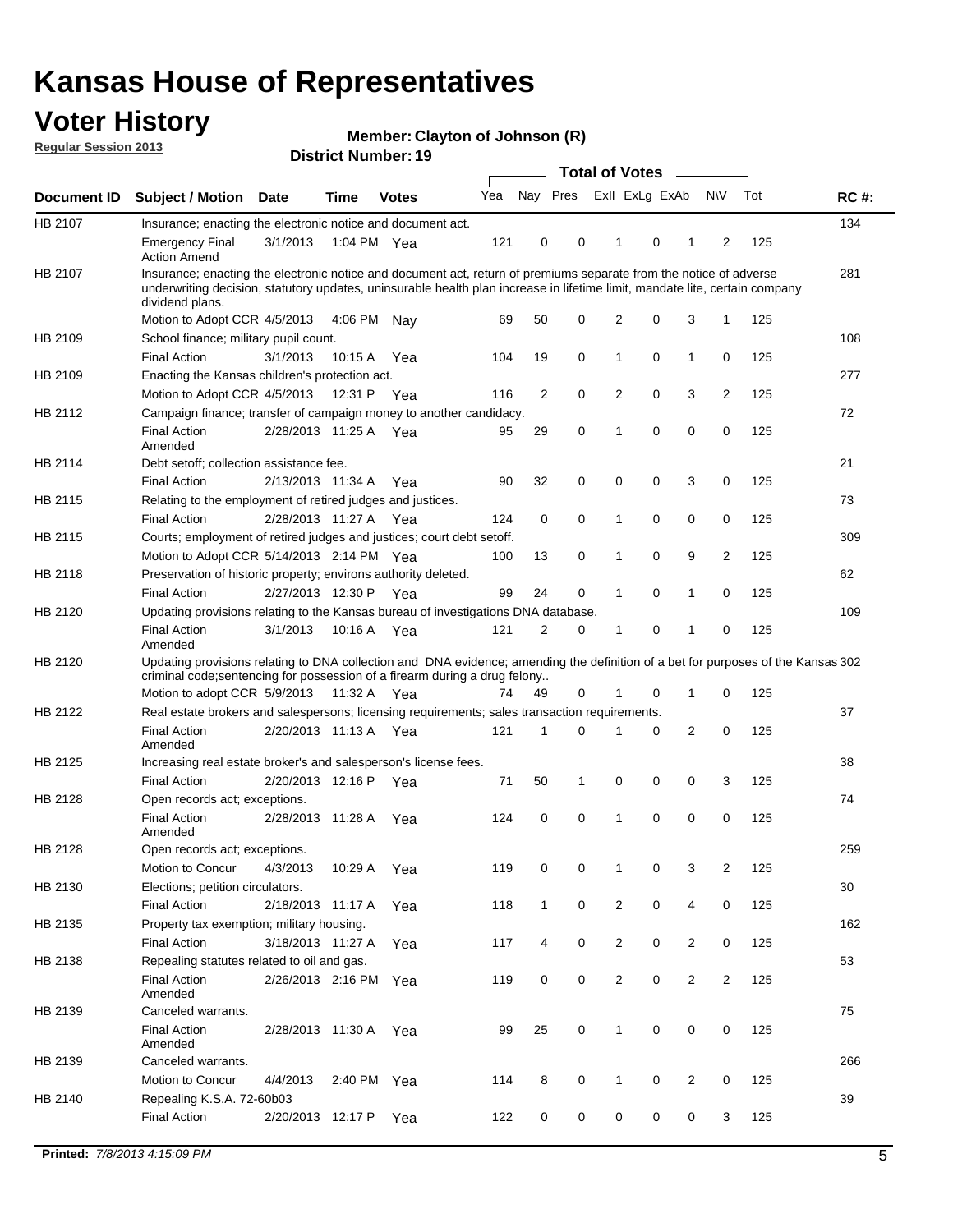## **Voter History**

**Member: Clayton of Johnson (R)** 

**Regular Session 2013**

|             |                                                                                                                                                                                                                                                                                                                                                 |                       | PIJUIVI INUIIID <del>e</del> i . TJ |              |     |              |   | <b>Total of Votes</b> |   | $\sim$         |                |     |             |
|-------------|-------------------------------------------------------------------------------------------------------------------------------------------------------------------------------------------------------------------------------------------------------------------------------------------------------------------------------------------------|-----------------------|-------------------------------------|--------------|-----|--------------|---|-----------------------|---|----------------|----------------|-----|-------------|
| Document ID | <b>Subject / Motion Date</b>                                                                                                                                                                                                                                                                                                                    |                       | <b>Time</b>                         | <b>Votes</b> | Yea | Nay Pres     |   | Exll ExLg ExAb        |   |                | <b>NV</b>      | Tot | <b>RC#:</b> |
| HB 2107     | Insurance; enacting the electronic notice and document act.                                                                                                                                                                                                                                                                                     |                       |                                     |              |     |              |   |                       |   |                |                |     | 134         |
|             | <b>Emergency Final</b><br><b>Action Amend</b>                                                                                                                                                                                                                                                                                                   | 3/1/2013              | 1:04 PM Yea                         |              | 121 | 0            | 0 | 1                     | 0 | 1              | 2              | 125 |             |
| HB 2107     | Insurance; enacting the electronic notice and document act, return of premiums separate from the notice of adverse<br>underwriting decision, statutory updates, uninsurable health plan increase in lifetime limit, mandate lite, certain company<br>dividend plans.                                                                            |                       |                                     |              |     |              |   |                       |   |                |                |     | 281         |
|             | Motion to Adopt CCR 4/5/2013                                                                                                                                                                                                                                                                                                                    |                       | 4:06 PM                             | Nav          | 69  | 50           | 0 | 2                     | 0 | 3              | $\mathbf{1}$   | 125 |             |
| HB 2109     | School finance; military pupil count.                                                                                                                                                                                                                                                                                                           |                       |                                     |              |     |              |   |                       |   |                |                |     | 108         |
|             | <b>Final Action</b>                                                                                                                                                                                                                                                                                                                             | 3/1/2013              | 10:15 A                             | Yea          | 104 | 19           | 0 | 1                     | 0 | $\mathbf{1}$   | 0              | 125 |             |
| HB 2109     | Enacting the Kansas children's protection act.                                                                                                                                                                                                                                                                                                  |                       |                                     |              |     |              |   |                       |   |                |                |     | 277         |
|             | Motion to Adopt CCR 4/5/2013                                                                                                                                                                                                                                                                                                                    |                       | 12:31 P Yea                         |              | 116 | 2            | 0 | $\overline{2}$        | 0 | 3              | 2              | 125 |             |
| HB 2112     | Campaign finance; transfer of campaign money to another candidacy.                                                                                                                                                                                                                                                                              |                       |                                     |              |     |              |   |                       |   |                |                |     | 72          |
|             | <b>Final Action</b><br>Amended                                                                                                                                                                                                                                                                                                                  | 2/28/2013 11:25 A Yea |                                     |              | 95  | 29           | 0 | 1                     | 0 | 0              | 0              | 125 |             |
| HB 2114     | Debt setoff: collection assistance fee.                                                                                                                                                                                                                                                                                                         |                       |                                     |              |     |              |   |                       |   |                |                |     | 21          |
|             | <b>Final Action</b>                                                                                                                                                                                                                                                                                                                             | 2/13/2013 11:34 A     |                                     | Yea          | 90  | 32           | 0 | 0                     | 0 | 3              | 0              | 125 |             |
| HB 2115     | Relating to the employment of retired judges and justices.                                                                                                                                                                                                                                                                                      |                       |                                     |              |     |              |   |                       |   |                |                |     | 73          |
|             | <b>Final Action</b>                                                                                                                                                                                                                                                                                                                             | 2/28/2013 11:27 A     |                                     | Yea          | 124 | 0            | 0 | 1                     | 0 | 0              | 0              | 125 |             |
| HB 2115     | Courts; employment of retired judges and justices; court debt setoff.                                                                                                                                                                                                                                                                           |                       |                                     |              |     |              |   |                       |   |                |                |     | 309         |
|             | Motion to Adopt CCR 5/14/2013 2:14 PM Yea                                                                                                                                                                                                                                                                                                       |                       |                                     |              | 100 | 13           | 0 | 1                     | 0 | 9              | 2              | 125 |             |
| HB 2118     | Preservation of historic property; environs authority deleted.                                                                                                                                                                                                                                                                                  |                       |                                     |              |     |              |   |                       |   |                |                |     | 62          |
|             | <b>Final Action</b>                                                                                                                                                                                                                                                                                                                             | 2/27/2013 12:30 P     |                                     | Yea          | 99  | 24           | 0 | 1                     | 0 | $\mathbf{1}$   | 0              | 125 |             |
| HB 2120     | Updating provisions relating to the Kansas bureau of investigations DNA database.                                                                                                                                                                                                                                                               |                       |                                     |              |     |              |   |                       |   |                |                |     | 109         |
|             | <b>Final Action</b>                                                                                                                                                                                                                                                                                                                             | 3/1/2013              | 10:16 A                             | Yea          | 121 | 2            | 0 | 1                     | 0 | 1              | 0              | 125 |             |
| HB 2122     | Updating provisions relating to DNA collection and DNA evidence; amending the definition of a bet for purposes of the Kansas 302<br>criminal code; sentencing for possession of a firearm during a drug felony<br>Motion to adopt CCR 5/9/2013<br>Real estate brokers and salespersons; licensing requirements; sales transaction requirements. |                       | 11:32 A Yea                         |              | 74  | 49           | 0 | 1                     | 0 | $\mathbf 1$    | 0              | 125 | 37          |
|             | <b>Final Action</b>                                                                                                                                                                                                                                                                                                                             | 2/20/2013 11:13 A Yea |                                     |              | 121 | 1            | 0 |                       | 0 | 2              | 0              | 125 |             |
|             | Amended                                                                                                                                                                                                                                                                                                                                         |                       |                                     |              |     |              |   |                       |   |                |                |     |             |
| HB 2125     | Increasing real estate broker's and salesperson's license fees.                                                                                                                                                                                                                                                                                 | 2/20/2013 12:16 P     |                                     |              |     |              |   |                       |   |                |                |     | 38          |
|             | <b>Final Action</b>                                                                                                                                                                                                                                                                                                                             |                       |                                     | Yea          | 71  | 50           | 1 | 0                     | 0 | 0              | 3              | 125 |             |
| HB 2128     | Open records act; exceptions.<br><b>Final Action</b><br>Amended                                                                                                                                                                                                                                                                                 | 2/28/2013 11:28 A     |                                     | Yea          | 124 | 0            | 0 | 1                     | 0 | 0              | 0              | 125 | 74          |
| HB 2128     | Open records act; exceptions.                                                                                                                                                                                                                                                                                                                   |                       |                                     |              |     |              |   |                       |   |                |                |     | 259         |
|             | Motion to Concur                                                                                                                                                                                                                                                                                                                                | 4/3/2013              | 10:29 A                             | Yea          | 119 | 0            | 0 | 1                     | 0 | 3              | 2              | 125 |             |
| HB 2130     | Elections; petition circulators.                                                                                                                                                                                                                                                                                                                |                       |                                     |              |     |              |   |                       |   |                |                |     | 30          |
|             | <b>Final Action</b>                                                                                                                                                                                                                                                                                                                             | 2/18/2013 11:17 A     |                                     | Yea          | 118 | $\mathbf{1}$ | 0 | $\overline{c}$        | 0 | 4              | 0              | 125 |             |
| HB 2135     | Property tax exemption; military housing.                                                                                                                                                                                                                                                                                                       |                       |                                     |              |     |              |   |                       |   |                |                |     | 162         |
|             | <b>Final Action</b>                                                                                                                                                                                                                                                                                                                             | 3/18/2013 11:27 A     |                                     | Yea          | 117 | 4            | 0 | $\overline{2}$        | 0 | 2              | 0              | 125 |             |
| HB 2138     | Repealing statutes related to oil and gas.                                                                                                                                                                                                                                                                                                      |                       |                                     |              |     |              |   |                       |   |                |                |     | 53          |
|             | <b>Final Action</b><br>Amended                                                                                                                                                                                                                                                                                                                  | 2/26/2013 2:16 PM Yea |                                     |              | 119 | 0            | 0 | 2                     | 0 | $\overline{2}$ | $\overline{2}$ | 125 |             |
| HB 2139     | Canceled warrants.                                                                                                                                                                                                                                                                                                                              |                       |                                     |              |     |              |   |                       |   |                |                |     | 75          |
|             | <b>Final Action</b><br>Amended                                                                                                                                                                                                                                                                                                                  | 2/28/2013 11:30 A     |                                     | Yea          | 99  | 25           | 0 | 1                     | 0 | 0              | 0              | 125 |             |
| HB 2139     | Canceled warrants.                                                                                                                                                                                                                                                                                                                              |                       |                                     |              |     |              |   |                       |   |                |                |     | 266         |
|             | Motion to Concur                                                                                                                                                                                                                                                                                                                                | 4/4/2013              | 2:40 PM Yea                         |              | 114 | 8            | 0 | 1                     | 0 | 2              | 0              | 125 |             |
| HB 2140     | Repealing K.S.A. 72-60b03                                                                                                                                                                                                                                                                                                                       |                       |                                     |              |     |              |   |                       |   |                |                |     | 39          |
|             | <b>Final Action</b>                                                                                                                                                                                                                                                                                                                             | 2/20/2013 12:17 P     |                                     | Yea          | 122 | 0            | 0 | 0                     | 0 | 0              | 3              | 125 |             |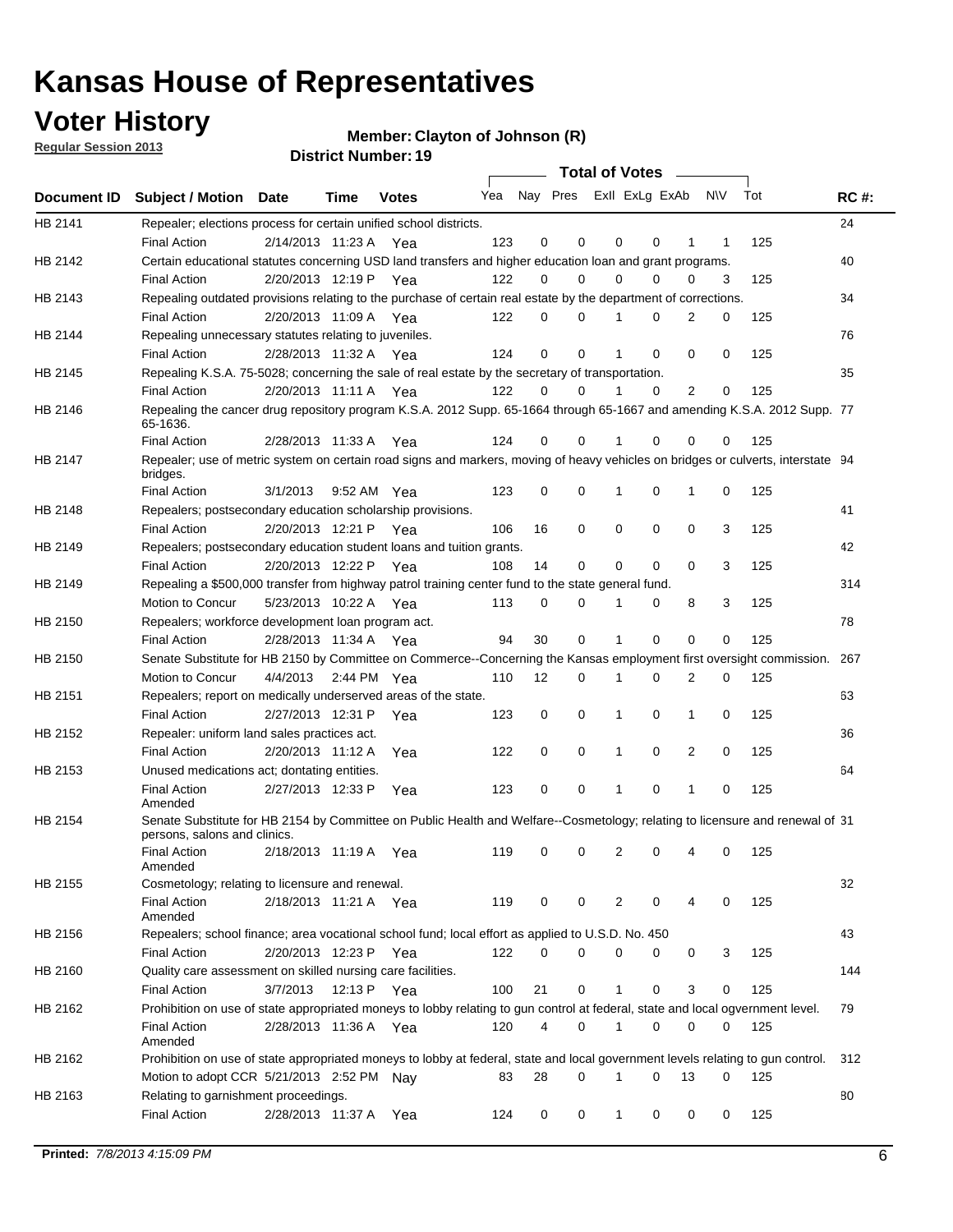## **Voter History**

**Member: Clayton of Johnson (R)** 

**Regular Session 2013**

|                |                                                                                                                                              |          |                       |              |                             |    | <b>Total of Votes</b> |              |          | $\sim$      |     |     |             |
|----------------|----------------------------------------------------------------------------------------------------------------------------------------------|----------|-----------------------|--------------|-----------------------------|----|-----------------------|--------------|----------|-------------|-----|-----|-------------|
|                | Document ID Subject / Motion Date                                                                                                            |          | Time                  | <b>Votes</b> | Yea Nay Pres ExII ExLg ExAb |    |                       |              |          |             | N\V | Tot | <b>RC#:</b> |
| HB 2141        | Repealer; elections process for certain unified school districts.                                                                            |          |                       |              |                             |    |                       |              |          |             |     |     | 24          |
|                | <b>Final Action</b>                                                                                                                          |          | 2/14/2013 11:23 A     | Yea          | 123                         | 0  | 0                     | 0            | 0        | 1           | 1   | 125 |             |
| HB 2142        | Certain educational statutes concerning USD land transfers and higher education loan and grant programs.                                     |          |                       |              |                             |    |                       |              |          |             |     |     | 40          |
|                | <b>Final Action</b>                                                                                                                          |          | 2/20/2013 12:19 P     | Yea          | 122                         | 0  | 0                     | 0            | 0        | 0           | 3   | 125 |             |
| HB 2143        | Repealing outdated provisions relating to the purchase of certain real estate by the department of corrections.                              |          |                       |              |                             |    |                       |              |          |             |     |     | 34          |
|                | <b>Final Action</b>                                                                                                                          |          | 2/20/2013 11:09 A Yea |              | 122                         | 0  | 0                     |              | 0        | 2           | 0   | 125 |             |
| HB 2144        | Repealing unnecessary statutes relating to juveniles.                                                                                        |          |                       |              |                             |    |                       |              |          |             |     |     | 76          |
|                | <b>Final Action</b>                                                                                                                          |          | 2/28/2013 11:32 A Yea |              | 124                         | 0  | 0                     |              | 0        | 0           | 0   | 125 |             |
| <b>HB 2145</b> | Repealing K.S.A. 75-5028; concerning the sale of real estate by the secretary of transportation.                                             |          |                       |              |                             |    |                       |              |          |             |     |     | 35          |
|                | <b>Final Action</b>                                                                                                                          |          | 2/20/2013 11:11 A Yea |              | 122                         | 0  | 0                     |              | 0        | 2           | 0   | 125 |             |
| HB 2146        | Repealing the cancer drug repository program K.S.A. 2012 Supp. 65-1664 through 65-1667 and amending K.S.A. 2012 Supp. 77                     |          |                       |              |                             |    |                       |              |          |             |     |     |             |
|                | 65-1636.<br><b>Final Action</b>                                                                                                              |          | 2/28/2013 11:33 A     |              | 124                         | 0  | 0                     |              | 0        | 0           | 0   | 125 |             |
|                |                                                                                                                                              |          |                       | Yea          |                             |    |                       |              |          |             |     |     |             |
| HB 2147        | Repealer; use of metric system on certain road signs and markers, moving of heavy vehicles on bridges or culverts, interstate 94<br>bridges. |          |                       |              |                             |    |                       |              |          |             |     |     |             |
|                | <b>Final Action</b>                                                                                                                          | 3/1/2013 |                       | 9:52 AM Yea  | 123                         | 0  | 0                     | 1            | 0        | 1           | 0   | 125 |             |
| HB 2148        | Repealers; postsecondary education scholarship provisions.                                                                                   |          |                       |              |                             |    |                       |              |          |             |     |     | 41          |
|                | <b>Final Action</b>                                                                                                                          |          | 2/20/2013 12:21 P Yea |              | 106                         | 16 | 0                     | 0            | 0        | 0           | 3   | 125 |             |
| HB 2149        | Repealers; postsecondary education student loans and tuition grants.                                                                         |          |                       |              |                             |    |                       |              |          |             |     |     | 42          |
|                | <b>Final Action</b>                                                                                                                          |          | 2/20/2013 12:22 P     | Yea          | 108                         | 14 | 0                     | 0            | 0        | $\Omega$    | 3   | 125 |             |
| HB 2149        | Repealing a \$500,000 transfer from highway patrol training center fund to the state general fund.                                           |          |                       |              |                             |    |                       |              |          |             |     |     | 314         |
|                | Motion to Concur                                                                                                                             |          | 5/23/2013 10:22 A Yea |              | 113                         | 0  | 0                     |              | 0        | 8           | 3   | 125 |             |
| HB 2150        | Repealers; workforce development loan program act.                                                                                           |          |                       |              |                             |    |                       |              |          |             |     |     | 78          |
|                | <b>Final Action</b>                                                                                                                          |          | 2/28/2013 11:34 A Yea |              | 94                          | 30 | 0                     | 1            | 0        | $\mathbf 0$ | 0   | 125 |             |
| HB 2150        | Senate Substitute for HB 2150 by Committee on Commerce--Concerning the Kansas employment first oversight commission.                         |          |                       |              |                             |    |                       |              |          |             |     |     | 267         |
|                | Motion to Concur                                                                                                                             | 4/4/2013 |                       | 2:44 PM Yea  | 110                         | 12 | 0                     | 1            | 0        | 2           | 0   | 125 |             |
| HB 2151        | Repealers; report on medically underserved areas of the state.                                                                               |          |                       |              |                             |    |                       |              |          |             |     |     | 63          |
|                | <b>Final Action</b>                                                                                                                          |          | 2/27/2013 12:31 P     | Yea          | 123                         | 0  | 0                     | 1            | 0        | 1           | 0   | 125 |             |
| HB 2152        | Repealer: uniform land sales practices act.                                                                                                  |          |                       |              |                             |    |                       |              |          |             |     |     | 36          |
|                | <b>Final Action</b>                                                                                                                          |          | 2/20/2013 11:12 A     | Yea          | 122                         | 0  | 0                     | 1            | 0        | 2           | 0   | 125 |             |
| HB 2153        | Unused medications act; dontating entities.                                                                                                  |          |                       |              |                             |    |                       |              |          |             |     |     | 64          |
|                | <b>Final Action</b><br>Amended                                                                                                               |          | 2/27/2013 12:33 P     | Yea          | 123                         | 0  | 0                     |              | 0        | 1           | 0   | 125 |             |
| HB 2154        | Senate Substitute for HB 2154 by Committee on Public Health and Welfare--Cosmetology; relating to licensure and renewal of 31                |          |                       |              |                             |    |                       |              |          |             |     |     |             |
|                | persons, salons and clinics.                                                                                                                 |          |                       |              |                             |    |                       |              |          |             |     |     |             |
|                | <b>Final Action</b><br>Amended                                                                                                               |          | 2/18/2013 11:19 A     | Yea          | 119                         | 0  | 0                     | 2            | 0        |             | 0   | 125 |             |
| HB 2155        | Cosmetology; relating to licensure and renewal.                                                                                              |          |                       |              |                             |    |                       |              |          |             |     |     | 32          |
|                | <b>Final Action</b>                                                                                                                          |          | 2/18/2013 11:21 A Yea |              | 119                         | 0  | 0                     | 2            | 0        | 4           | 0   | 125 |             |
|                | Amended                                                                                                                                      |          |                       |              |                             |    |                       |              |          |             |     |     |             |
| HB 2156        | Repealers; school finance; area vocational school fund; local effort as applied to U.S.D. No. 450                                            |          |                       |              |                             |    |                       |              |          |             |     |     | 43          |
|                | <b>Final Action</b>                                                                                                                          |          | 2/20/2013 12:23 P     | Yea          | 122                         | 0  | 0                     | 0            | 0        | 0           | 3   | 125 |             |
| HB 2160        | Quality care assessment on skilled nursing care facilities.                                                                                  |          |                       |              |                             |    |                       |              |          |             |     |     | 144         |
|                | <b>Final Action</b>                                                                                                                          | 3/7/2013 | 12:13 P               | Yea          | 100                         | 21 | 0                     | $\mathbf{1}$ | 0        | 3           | 0   | 125 |             |
| HB 2162        | Prohibition on use of state appropriated moneys to lobby relating to gun control at federal, state and local ogvernment level.               |          |                       |              |                             |    |                       |              |          |             |     |     | 79          |
|                | <b>Final Action</b><br>Amended                                                                                                               |          | 2/28/2013 11:36 A Yea |              | 120                         | 4  | 0                     | 1            | 0        | 0           | 0   | 125 |             |
| HB 2162        | Prohibition on use of state appropriated moneys to lobby at federal, state and local government levels relating to gun control.              |          |                       |              |                             |    |                       |              |          |             |     |     | 312         |
|                | Motion to adopt CCR 5/21/2013 2:52 PM Nay                                                                                                    |          |                       |              | 83                          | 28 | 0                     | 1            | $\Omega$ | 13          | 0   | 125 |             |
| HB 2163        | Relating to garnishment proceedings.                                                                                                         |          |                       |              |                             |    |                       |              |          |             |     |     | 80          |
|                | <b>Final Action</b>                                                                                                                          |          | 2/28/2013 11:37 A Yea |              | 124                         | 0  | 0                     | $\mathbf{1}$ | 0        | 0           | 0   | 125 |             |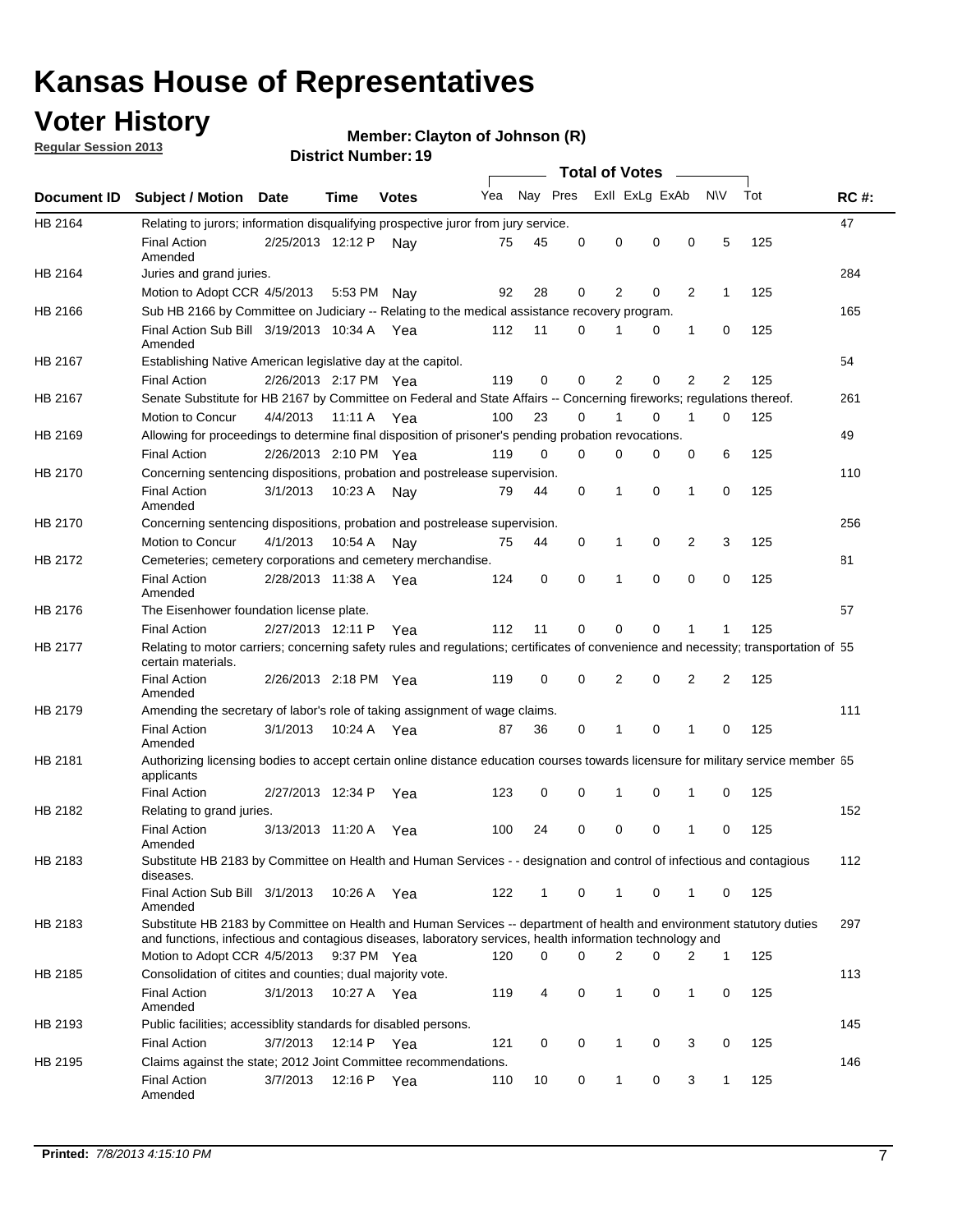## **Voter History**

**Member: Clayton of Johnson (R)** 

**Regular Session 2013**

|             |                                                                                                                                                                                                                                    |                       | PIJUIVI INUIIIVUI . TJ |              |     |          |          | <b>Total of Votes</b> |   | $\overline{\phantom{a}}$ |                |     |             |
|-------------|------------------------------------------------------------------------------------------------------------------------------------------------------------------------------------------------------------------------------------|-----------------------|------------------------|--------------|-----|----------|----------|-----------------------|---|--------------------------|----------------|-----|-------------|
| Document ID | <b>Subject / Motion Date</b>                                                                                                                                                                                                       |                       | Time                   | <b>Votes</b> | Yea | Nay Pres |          | Exll ExLg ExAb        |   |                          | <b>NV</b>      | Tot | <b>RC#:</b> |
| HB 2164     | Relating to jurors; information disqualifying prospective juror from jury service.                                                                                                                                                 |                       |                        |              |     |          |          |                       |   |                          |                |     | 47          |
|             | <b>Final Action</b><br>Amended                                                                                                                                                                                                     | 2/25/2013 12:12 P     |                        | Nav          | 75  | 45       | 0        | 0                     | 0 | 0                        | 5              | 125 |             |
| HB 2164     | Juries and grand juries.                                                                                                                                                                                                           |                       |                        |              |     |          |          |                       |   |                          |                |     | 284         |
|             | Motion to Adopt CCR 4/5/2013                                                                                                                                                                                                       |                       | 5:53 PM                | Nav          | 92  | 28       | 0        | 2                     | 0 | $\overline{2}$           | 1              | 125 |             |
| HB 2166     | Sub HB 2166 by Committee on Judiciary -- Relating to the medical assistance recovery program.                                                                                                                                      |                       |                        |              |     |          |          |                       |   |                          |                |     | 165         |
|             | Final Action Sub Bill 3/19/2013 10:34 A Yea<br>Amended                                                                                                                                                                             |                       |                        |              | 112 | 11       | $\Omega$ |                       | 0 | 1                        | 0              | 125 |             |
| HB 2167     | Establishing Native American legislative day at the capitol.                                                                                                                                                                       |                       |                        |              |     |          |          |                       |   |                          |                |     | 54          |
|             | <b>Final Action</b>                                                                                                                                                                                                                | 2/26/2013 2:17 PM Yea |                        |              | 119 | 0        | $\Omega$ | 2                     | 0 | $\overline{2}$           | 2              | 125 |             |
| HB 2167     | Senate Substitute for HB 2167 by Committee on Federal and State Affairs -- Concerning fireworks; regulations thereof.                                                                                                              |                       |                        |              |     |          |          |                       |   |                          |                |     | 261         |
|             | Motion to Concur                                                                                                                                                                                                                   | 4/4/2013              | 11:11 A Yea            |              | 100 | 23       | 0        | 1                     | 0 | 1                        | 0              | 125 |             |
| HB 2169     | Allowing for proceedings to determine final disposition of prisoner's pending probation revocations.                                                                                                                               |                       |                        |              |     |          |          |                       |   |                          |                |     | 49          |
|             | <b>Final Action</b>                                                                                                                                                                                                                | 2/26/2013 2:10 PM Yea |                        |              | 119 | 0        | 0        | 0                     | 0 | 0                        | 6              | 125 |             |
| HB 2170     | Concerning sentencing dispositions, probation and postrelease supervision.                                                                                                                                                         |                       |                        |              |     |          |          |                       |   |                          |                |     | 110         |
|             | <b>Final Action</b><br>Amended                                                                                                                                                                                                     | 3/1/2013              | 10:23 A                | Nay          | 79  | 44       | 0        | 1                     | 0 | 1                        | 0              | 125 |             |
| HB 2170     | Concerning sentencing dispositions, probation and postrelease supervision.                                                                                                                                                         |                       |                        |              |     |          |          |                       |   |                          |                |     | 256         |
|             | Motion to Concur                                                                                                                                                                                                                   | 4/1/2013              | 10:54 A                | Nay          | 75  | 44       | 0        | 1                     | 0 | $\overline{2}$           | 3              | 125 |             |
| HB 2172     | Cemeteries; cemetery corporations and cemetery merchandise.                                                                                                                                                                        |                       |                        |              |     |          |          |                       |   |                          |                |     | 81          |
|             | <b>Final Action</b><br>Amended                                                                                                                                                                                                     | 2/28/2013 11:38 A Yea |                        |              | 124 | 0        | 0        | 1                     | 0 | $\Omega$                 | 0              | 125 |             |
| HB 2176     | The Eisenhower foundation license plate.                                                                                                                                                                                           |                       |                        |              |     |          |          |                       |   |                          |                |     | 57          |
|             | <b>Final Action</b>                                                                                                                                                                                                                | 2/27/2013 12:11 P     |                        | Yea          | 112 | 11       | $\Omega$ | 0                     | 0 | 1                        | 1              | 125 |             |
| HB 2177     | Relating to motor carriers; concerning safety rules and regulations; certificates of convenience and necessity; transportation of 55<br>certain materials.                                                                         |                       |                        |              |     |          |          |                       |   |                          |                |     |             |
|             | <b>Final Action</b><br>Amended                                                                                                                                                                                                     | 2/26/2013 2:18 PM Yea |                        |              | 119 | 0        | $\Omega$ | 2                     | 0 | $\overline{2}$           | $\overline{2}$ | 125 |             |
| HB 2179     | Amending the secretary of labor's role of taking assignment of wage claims.                                                                                                                                                        |                       |                        |              |     |          |          |                       |   |                          |                |     | 111         |
|             | <b>Final Action</b><br>Amended                                                                                                                                                                                                     | 3/1/2013              | 10:24 A Yea            |              | 87  | 36       | 0        | 1                     | 0 | 1                        | 0              | 125 |             |
| HB 2181     | Authorizing licensing bodies to accept certain online distance education courses towards licensure for military service member 55<br>applicants                                                                                    |                       |                        |              |     |          |          |                       |   |                          |                |     |             |
|             | <b>Final Action</b>                                                                                                                                                                                                                | 2/27/2013 12:34 P     |                        | Yea          | 123 | 0        | 0        |                       | 0 | 1                        | 0              | 125 |             |
| HB 2182     | Relating to grand juries.                                                                                                                                                                                                          |                       |                        |              |     |          |          |                       |   |                          |                |     | 152         |
|             | <b>Final Action</b><br>Amended                                                                                                                                                                                                     | 3/13/2013 11:20 A     |                        | Yea          | 100 | 24       | 0        | 0                     | 0 | 1                        | 0              | 125 |             |
| HB 2183     | Substitute HB 2183 by Committee on Health and Human Services - - designation and control of infectious and contagious<br>diseases.                                                                                                 |                       |                        |              |     |          |          |                       |   |                          |                |     | 112         |
|             | Final Action Sub Bill 3/1/2013<br>Amended                                                                                                                                                                                          |                       | 10:26 A Yea            |              | 122 | 1        | 0        | 1                     | 0 | 1                        | 0              | 125 |             |
| HB 2183     | Substitute HB 2183 by Committee on Health and Human Services -- department of health and environment statutory duties<br>and functions, infectious and contagious diseases, laboratory services, health information technology and |                       |                        |              |     |          |          |                       |   |                          |                |     | 297         |
|             | Motion to Adopt CCR 4/5/2013                                                                                                                                                                                                       |                       | 9:37 PM Yea            |              | 120 | 0        | 0        | 2                     | 0 | 2                        | 1              | 125 |             |
| HB 2185     | Consolidation of citites and counties; dual majority vote.                                                                                                                                                                         |                       |                        |              |     |          |          |                       |   |                          |                |     | 113         |
|             | <b>Final Action</b><br>Amended                                                                                                                                                                                                     | 3/1/2013              | 10:27 A Yea            |              | 119 | 4        | 0        | 1                     | 0 | $\mathbf{1}$             | 0              | 125 |             |
| HB 2193     | Public facilities; accessiblity standards for disabled persons.                                                                                                                                                                    |                       |                        |              |     |          |          |                       |   |                          |                |     | 145         |
|             | <b>Final Action</b>                                                                                                                                                                                                                | 3/7/2013              | 12:14 P                | Yea          | 121 | 0        | 0        | 1                     | 0 | 3                        | 0              | 125 |             |
| HB 2195     | Claims against the state; 2012 Joint Committee recommendations.                                                                                                                                                                    |                       |                        |              |     |          |          |                       |   |                          |                |     | 146         |
|             | <b>Final Action</b><br>Amended                                                                                                                                                                                                     | 3/7/2013              | 12:16 P Yea            |              | 110 | 10       | 0        | 1                     | 0 | 3                        | 1              | 125 |             |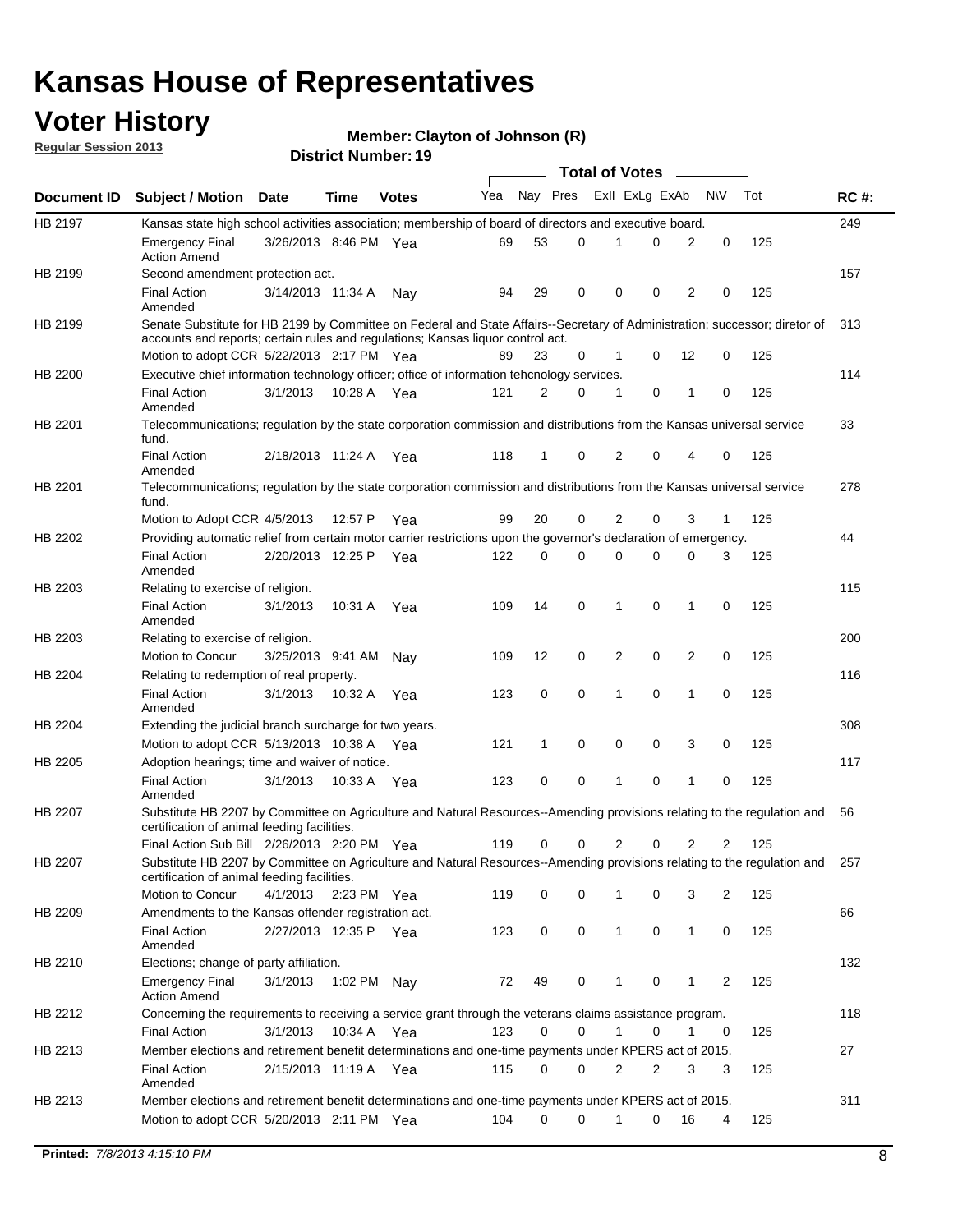## **Voter History**

**Member: Clayton of Johnson (R)** 

**Regular Session 2013**

|                |                                                                                                                                                                             |                       |             |              |     |          |   | <b>Total of Votes</b> |   |              |            |     |             |
|----------------|-----------------------------------------------------------------------------------------------------------------------------------------------------------------------------|-----------------------|-------------|--------------|-----|----------|---|-----------------------|---|--------------|------------|-----|-------------|
| Document ID    | <b>Subject / Motion Date</b>                                                                                                                                                |                       | Time        | <b>Votes</b> | Yea | Nay Pres |   | Exll ExLg ExAb        |   |              | <b>N/A</b> | Tot | <b>RC#:</b> |
| HB 2197        | Kansas state high school activities association; membership of board of directors and executive board.                                                                      |                       |             |              |     |          |   |                       |   |              |            |     | 249         |
|                | Emergency Final<br><b>Action Amend</b>                                                                                                                                      | 3/26/2013 8:46 PM Yea |             |              | 69  | 53       | 0 |                       | 0 | 2            | 0          | 125 |             |
| HB 2199        | Second amendment protection act.                                                                                                                                            |                       |             |              |     |          |   |                       |   |              |            |     | 157         |
|                | <b>Final Action</b><br>Amended                                                                                                                                              | 3/14/2013 11:34 A     |             | Nav          | 94  | 29       | 0 | 0                     | 0 | 2            | 0          | 125 |             |
| HB 2199        | Senate Substitute for HB 2199 by Committee on Federal and State Affairs--Secretary of Administration; successor; diretor of                                                 |                       |             |              |     |          |   |                       |   |              |            |     | 313         |
|                | accounts and reports; certain rules and regulations; Kansas liguor control act.                                                                                             |                       |             |              |     |          |   |                       |   |              |            |     |             |
|                | Motion to adopt CCR 5/22/2013 2:17 PM Yea                                                                                                                                   |                       |             |              | 89  | 23       | 0 | 1                     | 0 | 12           | 0          | 125 |             |
| HB 2200        | Executive chief information technology officer; office of information tehcnology services.                                                                                  |                       |             |              |     |          |   |                       |   |              |            |     | 114         |
|                | <b>Final Action</b><br>Amended                                                                                                                                              | 3/1/2013              | 10:28 A     | Yea          | 121 | 2        | 0 | 1                     | 0 | 1            | 0          | 125 |             |
| HB 2201        | Telecommunications; regulation by the state corporation commission and distributions from the Kansas universal service<br>fund.                                             |                       |             |              |     |          |   |                       |   |              |            |     | 33          |
|                | <b>Final Action</b><br>Amended                                                                                                                                              | 2/18/2013 11:24 A     |             | Yea          | 118 | 1        | 0 | 2                     | 0 | 4            | 0          | 125 |             |
| HB 2201        | Telecommunications; regulation by the state corporation commission and distributions from the Kansas universal service<br>fund.                                             |                       |             |              |     |          |   |                       |   |              |            |     | 278         |
|                | Motion to Adopt CCR 4/5/2013                                                                                                                                                |                       | 12:57 P     | Yea          | 99  | 20       | 0 | 2                     | 0 | 3            | 1          | 125 |             |
| HB 2202        | Providing automatic relief from certain motor carrier restrictions upon the governor's declaration of emergency.                                                            |                       |             |              |     |          |   |                       |   |              |            |     | 44          |
|                | <b>Final Action</b><br>Amended                                                                                                                                              | 2/20/2013 12:25 P     |             | Yea          | 122 | 0        | 0 | 0                     | 0 | 0            | 3          | 125 |             |
| HB 2203        | Relating to exercise of religion.                                                                                                                                           |                       |             |              |     |          |   |                       |   |              |            |     | 115         |
|                | <b>Final Action</b><br>Amended                                                                                                                                              | 3/1/2013              | 10:31 A     | Yea          | 109 | 14       | 0 | 1                     | 0 | 1            | 0          | 125 |             |
| HB 2203        | Relating to exercise of religion.                                                                                                                                           |                       |             |              |     |          |   |                       |   |              |            |     | 200         |
|                | Motion to Concur                                                                                                                                                            | 3/25/2013 9:41 AM     |             | Nav          | 109 | 12       | 0 | 2                     | 0 | 2            | 0          | 125 |             |
| HB 2204        | Relating to redemption of real property.                                                                                                                                    |                       |             |              |     |          |   |                       |   |              |            |     | 116         |
|                | <b>Final Action</b>                                                                                                                                                         | 3/1/2013              | 10:32 A     | Yea          | 123 | 0        | 0 | 1                     | 0 | 1            | 0          | 125 |             |
| HB 2204        | Amended<br>Extending the judicial branch surcharge for two years.                                                                                                           |                       |             |              |     |          |   |                       |   |              |            |     | 308         |
|                | Motion to adopt CCR 5/13/2013 10:38 A                                                                                                                                       |                       |             | Yea          | 121 | 1        | 0 | 0                     | 0 | 3            | 0          | 125 |             |
| HB 2205        | Adoption hearings; time and waiver of notice.                                                                                                                               |                       |             |              |     |          |   |                       |   |              |            |     | 117         |
|                | <b>Final Action</b>                                                                                                                                                         | 3/1/2013              | 10:33 A Yea |              | 123 | 0        | 0 | 1                     | 0 | 1            | 0          | 125 |             |
|                | Amended<br>Substitute HB 2207 by Committee on Agriculture and Natural Resources--Amending provisions relating to the regulation and                                         |                       |             |              |     |          |   |                       |   |              |            |     |             |
| HB 2207        | certification of animal feeding facilities.                                                                                                                                 |                       |             |              |     |          |   |                       |   |              |            |     | 56          |
|                | Final Action Sub Bill 2/26/2013 2:20 PM Yea                                                                                                                                 |                       |             |              | 119 | 0        | 0 | 2                     | 0 | 2            | 2          | 125 |             |
| <b>HB 2207</b> | Substitute HB 2207 by Committee on Agriculture and Natural Resources--Amending provisions relating to the regulation and 257<br>certification of animal feeding facilities. |                       |             |              |     |          |   |                       |   |              |            |     |             |
|                | Motion to Concur                                                                                                                                                            | 4/1/2013 2:23 PM Yea  |             |              | 119 | 0        | 0 | 1                     | 0 | 3            | 2          | 125 |             |
| HB 2209        | Amendments to the Kansas offender registration act.<br><b>Final Action</b>                                                                                                  | 2/27/2013 12:35 P Yea |             |              | 123 | 0        | 0 | $\mathbf{1}$          | 0 | $\mathbf{1}$ | 0          | 125 | 66          |
|                | Amended                                                                                                                                                                     |                       |             |              |     |          |   |                       |   |              |            |     | 132         |
| HB 2210        | Elections; change of party affiliation.<br><b>Emergency Final</b>                                                                                                           | 3/1/2013              | 1:02 PM Nay |              | 72  | 49       | 0 |                       | 0 | 1            | 2          | 125 |             |
|                | <b>Action Amend</b>                                                                                                                                                         |                       |             |              |     |          |   |                       |   |              |            |     |             |
| HB 2212        | Concerning the requirements to receiving a service grant through the veterans claims assistance program.                                                                    |                       |             |              |     |          |   |                       |   |              |            |     | 118         |
|                | Final Action                                                                                                                                                                | 3/1/2013              | 10:34 A Yea |              | 123 | 0        | 0 | $\mathbf{1}$          | 0 | 1            | 0          | 125 |             |
| HB 2213        | Member elections and retirement benefit determinations and one-time payments under KPERS act of 2015.                                                                       |                       |             |              |     |          |   |                       |   |              |            |     | 27          |
|                | <b>Final Action</b><br>Amended                                                                                                                                              | 2/15/2013 11:19 A Yea |             |              | 115 | 0        | 0 | 2                     | 2 | 3            | 3          | 125 |             |
| HB 2213        | Member elections and retirement benefit determinations and one-time payments under KPERS act of 2015.<br>Motion to adopt CCR 5/20/2013 2:11 PM Yea                          |                       |             |              | 104 | $\Omega$ | 0 | 1                     | 0 | 16           | 4          | 125 | 311         |
|                |                                                                                                                                                                             |                       |             |              |     |          |   |                       |   |              |            |     |             |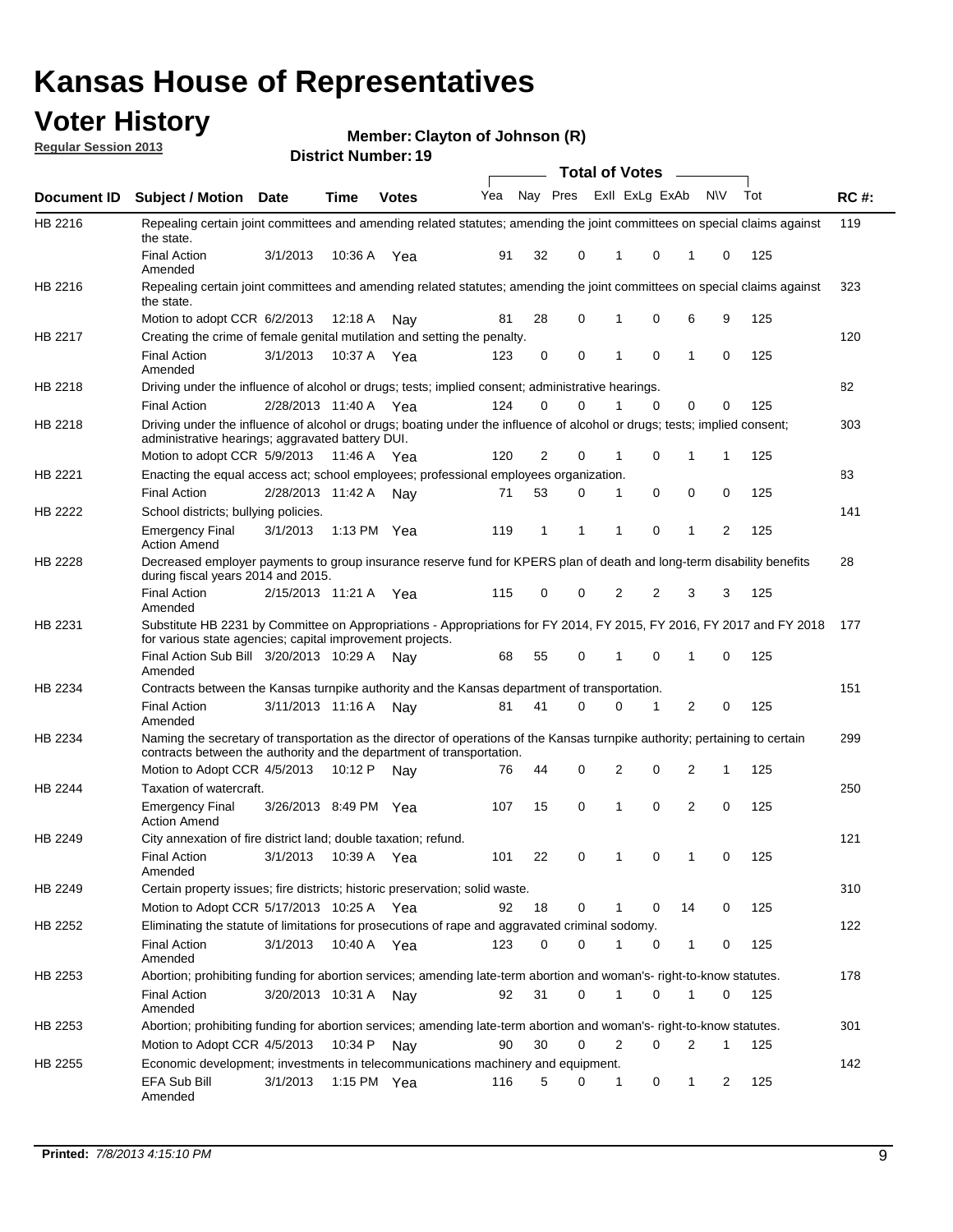## **Voter History**

**Member: Clayton of Johnson (R)** 

**Regular Session 2013**

|                    |                                                                                                                                                                                                       |                       |         | PIJUIVI I TUI IIIVUI . TJ |              |    |   | <b>Total of Votes</b> |   | $\sim$         |           |     |             |
|--------------------|-------------------------------------------------------------------------------------------------------------------------------------------------------------------------------------------------------|-----------------------|---------|---------------------------|--------------|----|---|-----------------------|---|----------------|-----------|-----|-------------|
| <b>Document ID</b> | <b>Subject / Motion Date</b>                                                                                                                                                                          |                       | Time    | <b>Votes</b>              | Yea Nay Pres |    |   | Exll ExLg ExAb        |   |                | <b>NV</b> | Tot | <b>RC#:</b> |
| HB 2216            | Repealing certain joint committees and amending related statutes; amending the joint committees on special claims against<br>the state.                                                               |                       |         |                           |              |    |   |                       |   |                |           |     | 119         |
|                    | <b>Final Action</b><br>Amended                                                                                                                                                                        | 3/1/2013              | 10:36 A | Yea                       | 91           | 32 | 0 | 1                     | 0 | 1              | 0         | 125 |             |
| HB 2216            | Repealing certain joint committees and amending related statutes; amending the joint committees on special claims against<br>the state.                                                               |                       |         |                           |              |    |   |                       |   |                |           |     | 323         |
|                    | Motion to adopt CCR 6/2/2013                                                                                                                                                                          |                       | 12:18 A | Nav                       | 81           | 28 | 0 | 1                     | 0 | 6              | 9         | 125 |             |
| HB 2217            | Creating the crime of female genital mutilation and setting the penalty.                                                                                                                              |                       |         |                           |              |    |   |                       |   |                |           |     | 120         |
|                    | <b>Final Action</b><br>Amended                                                                                                                                                                        | 3/1/2013              |         | 10:37 A Yea               | 123          | 0  | 0 | 1                     | 0 | $\mathbf{1}$   | 0         | 125 |             |
| HB 2218            | Driving under the influence of alcohol or drugs; tests; implied consent; administrative hearings.                                                                                                     |                       |         |                           |              |    |   |                       |   |                |           |     | 82          |
|                    | <b>Final Action</b>                                                                                                                                                                                   | 2/28/2013 11:40 A     |         | Yea                       | 124          | 0  | 0 |                       | 0 | 0              | 0         | 125 |             |
| HB 2218            | Driving under the influence of alcohol or drugs; boating under the influence of alcohol or drugs; tests; implied consent;<br>administrative hearings; aggravated battery DUI.                         |                       |         |                           |              |    |   |                       |   |                |           |     | 303         |
|                    | Motion to adopt CCR 5/9/2013                                                                                                                                                                          |                       | 11:46 A | Yea                       | 120          | 2  | 0 | 1                     | 0 | 1              | 1         | 125 |             |
| HB 2221            | Enacting the equal access act; school employees; professional employees organization.                                                                                                                 |                       |         |                           |              |    |   |                       |   |                |           |     | 83          |
|                    | <b>Final Action</b>                                                                                                                                                                                   | 2/28/2013 11:42 A     |         | Nav                       | 71           | 53 | 0 | 1                     | 0 | 0              | 0         | 125 |             |
| HB 2222            | School districts; bullying policies.                                                                                                                                                                  |                       |         |                           |              |    |   |                       |   |                |           |     | 141         |
|                    | <b>Emergency Final</b><br><b>Action Amend</b>                                                                                                                                                         | 3/1/2013              |         | 1:13 PM $Yea$             | 119          | 1  | 1 | 1                     | 0 | 1              | 2         | 125 |             |
| HB 2228            | Decreased employer payments to group insurance reserve fund for KPERS plan of death and long-term disability benefits<br>during fiscal years 2014 and 2015.                                           |                       |         |                           |              |    |   |                       |   |                |           |     | 28          |
|                    | <b>Final Action</b><br>Amended                                                                                                                                                                        | 2/15/2013 11:21 A     |         | Yea                       | 115          | 0  | 0 | 2                     | 2 | 3              | 3         | 125 |             |
| HB 2231            | Substitute HB 2231 by Committee on Appropriations - Appropriations for FY 2014, FY 2015, FY 2016, FY 2017 and FY 2018<br>for various state agencies; capital improvement projects.                    |                       |         |                           |              |    |   |                       |   |                |           |     | 177         |
|                    | Final Action Sub Bill 3/20/2013 10:29 A<br>Amended                                                                                                                                                    |                       |         | Nav                       | 68           | 55 | 0 |                       | 0 | 1              | 0         | 125 |             |
| HB 2234            | Contracts between the Kansas turnpike authority and the Kansas department of transportation.                                                                                                          |                       |         |                           |              |    |   |                       |   |                |           |     | 151         |
|                    | <b>Final Action</b><br>Amended                                                                                                                                                                        | 3/11/2013 11:16 A     |         | Nav                       | 81           | 41 | 0 | 0                     | 1 | $\overline{2}$ | 0         | 125 |             |
| HB 2234            | Naming the secretary of transportation as the director of operations of the Kansas turnpike authority; pertaining to certain<br>contracts between the authority and the department of transportation. |                       |         |                           |              |    |   |                       |   |                |           |     | 299         |
|                    | Motion to Adopt CCR 4/5/2013                                                                                                                                                                          |                       | 10:12 P | Nav                       | 76           | 44 | 0 | 2                     | 0 | 2              | 1         | 125 |             |
| <b>HB 2244</b>     | Taxation of watercraft.<br><b>Emergency Final</b>                                                                                                                                                     | 3/26/2013 8:49 PM Yea |         |                           | 107          | 15 | 0 | 1                     | 0 | 2              | 0         | 125 | 250         |
|                    | <b>Action Amend</b>                                                                                                                                                                                   |                       |         |                           |              |    |   |                       |   |                |           |     |             |
| HB 2249            | City annexation of fire district land; double taxation; refund.                                                                                                                                       |                       |         |                           |              |    |   |                       |   |                |           |     | 121         |
|                    | Final Action 3/1/2013 10:39 A Yea<br>Amended                                                                                                                                                          |                       |         |                           | 101          | 22 | 0 | $\mathbf{1}$          | 0 | $\mathbf{1}$   | 0         | 125 |             |
| HB 2249            | Certain property issues; fire districts; historic preservation; solid waste.                                                                                                                          |                       |         |                           |              |    |   |                       |   |                |           |     | 310         |
|                    | Motion to Adopt CCR 5/17/2013 10:25 A Yea                                                                                                                                                             |                       |         |                           | 92           | 18 | 0 | 1                     | 0 | 14             | 0         | 125 |             |
| HB 2252            | Eliminating the statute of limitations for prosecutions of rape and aggravated criminal sodomy.                                                                                                       |                       |         |                           |              |    |   |                       |   |                |           |     | 122         |
|                    | <b>Final Action</b><br>Amended                                                                                                                                                                        | 3/1/2013              |         | 10:40 A Yea               | 123          | 0  | 0 |                       | 0 | 1              | 0         | 125 |             |
| HB 2253            | Abortion; prohibiting funding for abortion services; amending late-term abortion and woman's- right-to-know statutes.                                                                                 |                       |         |                           |              |    |   |                       |   |                |           |     | 178         |
|                    | <b>Final Action</b><br>Amended                                                                                                                                                                        | 3/20/2013 10:31 A     |         | Nav                       | 92           | 31 | 0 | 1                     | 0 | 1              | 0         | 125 |             |
| HB 2253            | Abortion; prohibiting funding for abortion services; amending late-term abortion and woman's- right-to-know statutes.                                                                                 |                       |         |                           |              |    |   |                       |   |                |           |     | 301         |
|                    | Motion to Adopt CCR 4/5/2013                                                                                                                                                                          |                       | 10:34 P | Nav                       | 90           | 30 | 0 | 2                     | 0 | 2              | 1         | 125 |             |
| HB 2255            | Economic development; investments in telecommunications machinery and equipment.                                                                                                                      |                       |         |                           |              |    |   |                       |   |                |           |     | 142         |
|                    | EFA Sub Bill<br>Amended                                                                                                                                                                               | 3/1/2013              |         | 1:15 PM $Yea$             | 116          | 5  | 0 | -1                    | 0 | 1              | 2         | 125 |             |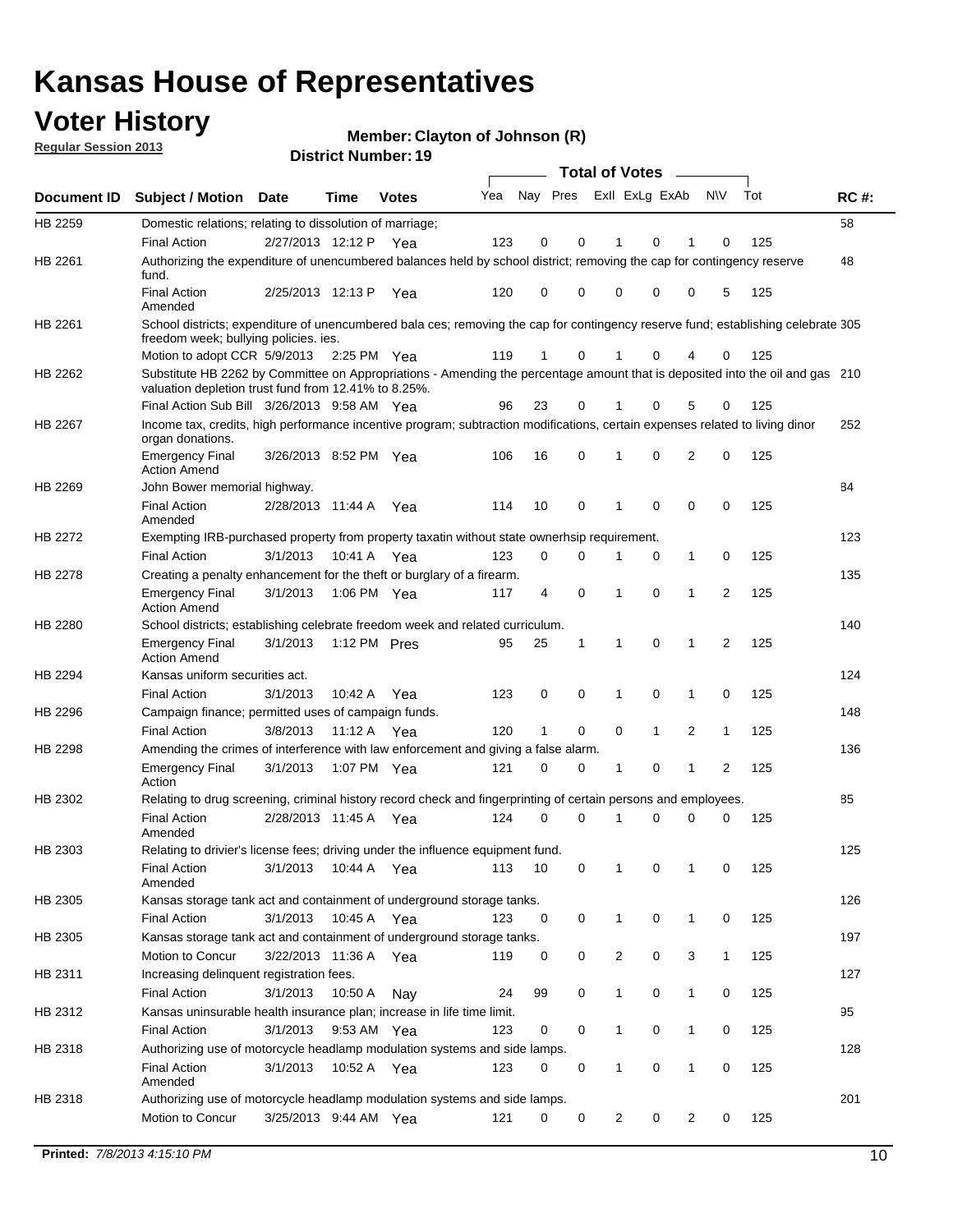## **Voter History**

**Member: Clayton of Johnson (R)** 

**Regular Session 2013**

|                    |                                                                                                                                                                                       |                       |              |              |     |              |   | <b>Total of Votes</b> |              |   |                |     |             |
|--------------------|---------------------------------------------------------------------------------------------------------------------------------------------------------------------------------------|-----------------------|--------------|--------------|-----|--------------|---|-----------------------|--------------|---|----------------|-----|-------------|
| <b>Document ID</b> | Subject / Motion Date                                                                                                                                                                 |                       | <b>Time</b>  | <b>Votes</b> | Yea | Nay Pres     |   | Exll ExLg ExAb        |              |   | <b>NV</b>      | Tot | <b>RC#:</b> |
| HB 2259            | Domestic relations; relating to dissolution of marriage;                                                                                                                              |                       |              |              |     |              |   |                       |              |   |                |     | 58          |
|                    | <b>Final Action</b>                                                                                                                                                                   | 2/27/2013 12:12 P Yea |              |              | 123 | 0            | 0 | 1                     | $\Omega$     | 1 | 0              | 125 |             |
| HB 2261            | Authorizing the expenditure of unencumbered balances held by school district; removing the cap for contingency reserve<br>fund.                                                       |                       |              |              |     |              |   |                       |              |   |                |     | 48          |
|                    | <b>Final Action</b><br>Amended                                                                                                                                                        | 2/25/2013 12:13 P     |              | Yea          | 120 | 0            | 0 | 0                     | 0            | 0 | 5              | 125 |             |
| HB 2261            | School districts; expenditure of unencumbered bala ces; removing the cap for contingency reserve fund; establishing celebrate 305<br>freedom week; bullying policies, ies.            |                       |              |              |     |              |   |                       |              |   |                |     |             |
|                    | Motion to adopt CCR 5/9/2013                                                                                                                                                          |                       | 2:25 PM Yea  |              | 119 | 1            | 0 | 1                     | 0            | 4 | 0              | 125 |             |
| HB 2262            | Substitute HB 2262 by Committee on Appropriations - Amending the percentage amount that is deposited into the oil and gas 210<br>valuation depletion trust fund from 12.41% to 8.25%. |                       |              |              |     |              |   |                       |              |   |                |     |             |
|                    | Final Action Sub Bill 3/26/2013 9:58 AM Yea                                                                                                                                           |                       |              |              | 96  | 23           | 0 |                       | 0            | 5 | 0              | 125 |             |
| HB 2267            | Income tax, credits, high performance incentive program; subtraction modifications, certain expenses related to living dinor<br>organ donations.                                      |                       |              |              |     |              |   |                       |              |   |                |     | 252         |
|                    | <b>Emergency Final</b><br><b>Action Amend</b>                                                                                                                                         | 3/26/2013 8:52 PM Yea |              |              | 106 | 16           | 0 | 1                     | 0            | 2 | 0              | 125 |             |
| HB 2269            | John Bower memorial highway.                                                                                                                                                          |                       |              |              |     |              |   |                       |              |   |                |     | 84          |
|                    | <b>Final Action</b><br>Amended                                                                                                                                                        | 2/28/2013 11:44 A     |              | Yea          | 114 | 10           | 0 | 1                     | $\mathbf 0$  | 0 | 0              | 125 |             |
| HB 2272            | Exempting IRB-purchased property from property taxatin without state ownerhsip requirement.                                                                                           |                       |              |              |     |              |   |                       |              |   |                |     | 123         |
|                    | <b>Final Action</b>                                                                                                                                                                   | 3/1/2013              | 10:41 A      | Yea          | 123 | 0            | 0 | 1                     | 0            | 1 | 0              | 125 |             |
| HB 2278            | Creating a penalty enhancement for the theft or burglary of a firearm.                                                                                                                |                       |              |              |     |              |   |                       |              |   |                |     | 135         |
|                    | <b>Emergency Final</b><br><b>Action Amend</b>                                                                                                                                         | 3/1/2013              | 1:06 PM Yea  |              | 117 | 4            | 0 | 1                     | 0            | 1 | 2              | 125 |             |
| HB 2280            | School districts; establishing celebrate freedom week and related curriculum.                                                                                                         |                       |              |              |     |              |   |                       |              |   |                |     | 140         |
|                    | <b>Emergency Final</b><br><b>Action Amend</b>                                                                                                                                         | 3/1/2013              | 1:12 PM Pres |              | 95  | 25           | 1 | 1                     | $\mathbf 0$  | 1 | $\overline{2}$ | 125 |             |
| HB 2294            | Kansas uniform securities act.                                                                                                                                                        |                       |              |              |     |              |   |                       |              |   |                |     | 124         |
|                    | <b>Final Action</b>                                                                                                                                                                   | 3/1/2013              | 10:42 A      | Yea          | 123 | 0            | 0 | 1                     | 0            | 1 | 0              | 125 |             |
| HB 2296            | Campaign finance; permitted uses of campaign funds.                                                                                                                                   |                       |              |              |     |              |   |                       |              |   |                |     | 148         |
|                    | <b>Final Action</b>                                                                                                                                                                   | 3/8/2013              | 11:12 A Yea  |              | 120 | $\mathbf{1}$ | 0 | 0                     | $\mathbf{1}$ | 2 | $\mathbf{1}$   | 125 |             |
| HB 2298            | Amending the crimes of interference with law enforcement and giving a false alarm.                                                                                                    |                       |              |              |     |              |   |                       |              |   |                |     | 136         |
|                    | <b>Emergency Final</b><br>Action                                                                                                                                                      | 3/1/2013              | 1:07 PM Yea  |              | 121 | 0            | 0 | 1                     | 0            | 1 | $\overline{2}$ | 125 |             |
| HB 2302            | Relating to drug screening, criminal history record check and fingerprinting of certain persons and employees.                                                                        |                       |              |              |     |              |   |                       |              |   |                |     | 85          |
|                    | <b>Final Action</b><br>Amended                                                                                                                                                        | 2/28/2013 11:45 A     |              | Yea          | 124 | 0            | 0 | 1                     | 0            | 0 | 0              | 125 |             |
| HB 2303            | Relating to drivier's license fees; driving under the influence equipment fund.                                                                                                       |                       |              |              |     |              |   |                       |              |   |                |     | 125         |
|                    | <b>Final Action</b><br>Amended                                                                                                                                                        | 3/1/2013              | 10:44 A      | Yea          | 113 | 10           | 0 | 1                     | 0            |   | 0              | 125 |             |
| HB 2305            | Kansas storage tank act and containment of underground storage tanks.                                                                                                                 |                       |              |              |     |              |   |                       |              |   |                |     | 126         |
|                    | <b>Final Action</b>                                                                                                                                                                   | 3/1/2013              | 10:45 A      | Yea          | 123 | 0            | 0 | 1                     | 0            | 1 | 0              | 125 |             |
| HB 2305            | Kansas storage tank act and containment of underground storage tanks.                                                                                                                 |                       |              |              |     |              |   |                       |              |   |                |     | 197         |
|                    | Motion to Concur                                                                                                                                                                      | 3/22/2013 11:36 A     |              | Yea          | 119 | 0            | 0 | 2                     | 0            | 3 | $\mathbf{1}$   | 125 |             |
| HB 2311            | Increasing delinquent registration fees.                                                                                                                                              |                       |              |              |     |              |   |                       |              |   |                |     | 127         |
|                    | <b>Final Action</b>                                                                                                                                                                   | 3/1/2013              | 10:50 A      | Nay          | 24  | 99           | 0 | 1                     | 0            | 1 | 0              | 125 |             |
| HB 2312            | Kansas uninsurable health insurance plan; increase in life time limit.                                                                                                                |                       |              |              |     |              |   |                       |              |   |                |     | 95          |
|                    | <b>Final Action</b>                                                                                                                                                                   | 3/1/2013              | 9:53 AM Yea  |              | 123 | 0            | 0 | $\mathbf{1}$          | 0            | 1 | 0              | 125 |             |
| HB 2318            | Authorizing use of motorcycle headlamp modulation systems and side lamps.                                                                                                             |                       |              |              |     |              |   |                       |              |   |                |     | 128         |
|                    | <b>Final Action</b><br>Amended                                                                                                                                                        | 3/1/2013              | 10:52 A      | Yea          | 123 | 0            | 0 | 1                     | 0            | 1 | 0              | 125 |             |
| HB 2318            | Authorizing use of motorcycle headlamp modulation systems and side lamps.<br>Motion to Concur                                                                                         | 3/25/2013 9:44 AM Yea |              |              | 121 | 0            | 0 | $\overline{a}$        | 0            | 2 | 0              | 125 | 201         |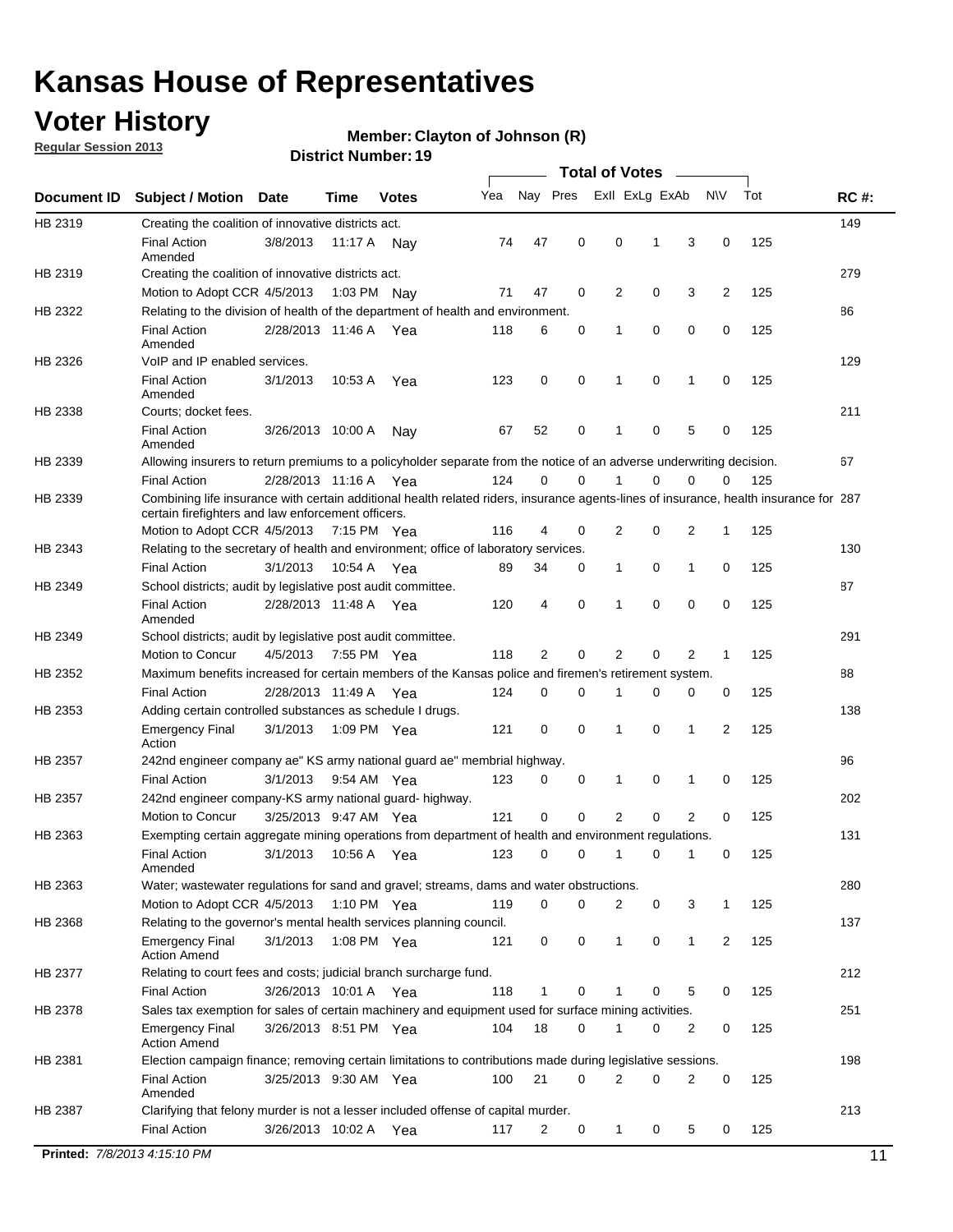## **Voter History**

**Regular Session 2013**

#### **Member: Clayton of Johnson (R)**

|             |                                                                                                                                                                                             |                       |             | DISTILITY MUTTING 19 |     |                | Total of Votes _____ |                |             |                |                |     |             |
|-------------|---------------------------------------------------------------------------------------------------------------------------------------------------------------------------------------------|-----------------------|-------------|----------------------|-----|----------------|----------------------|----------------|-------------|----------------|----------------|-----|-------------|
| Document ID | <b>Subject / Motion Date</b>                                                                                                                                                                |                       | Time        | <b>Votes</b>         | Yea | Nay Pres       |                      | Exll ExLg ExAb |             |                | <b>NV</b>      | Tot | <b>RC#:</b> |
| HB 2319     | Creating the coalition of innovative districts act.                                                                                                                                         |                       |             |                      |     |                |                      |                |             |                |                |     | 149         |
|             | <b>Final Action</b><br>Amended                                                                                                                                                              | 3/8/2013              | 11:17 A Nav |                      | 74  | 47             | 0                    | 0              | $\mathbf 1$ | 3              | 0              | 125 |             |
| HB 2319     | Creating the coalition of innovative districts act.                                                                                                                                         |                       |             |                      |     |                |                      |                |             |                |                |     | 279         |
|             | Motion to Adopt CCR 4/5/2013                                                                                                                                                                |                       | 1:03 PM Nay |                      | 71  | 47             | 0                    | 2              | 0           | 3              | $\overline{2}$ | 125 |             |
| HB 2322     | Relating to the division of health of the department of health and environment.                                                                                                             |                       |             |                      |     |                |                      |                |             |                |                |     | 86          |
|             | <b>Final Action</b><br>Amended                                                                                                                                                              | 2/28/2013 11:46 A Yea |             |                      | 118 | 6              | 0                    | $\mathbf 1$    | 0           | 0              | 0              | 125 |             |
| HB 2326     | VoIP and IP enabled services.                                                                                                                                                               |                       |             |                      |     |                |                      |                |             |                |                |     | 129         |
|             | <b>Final Action</b><br>Amended                                                                                                                                                              | 3/1/2013              | 10:53 A     | Yea                  | 123 | 0              | $\mathbf 0$          | 1              | 0           | 1              | 0              | 125 |             |
| HB 2338     | Courts; docket fees.                                                                                                                                                                        |                       |             |                      |     |                |                      |                |             |                |                |     | 211         |
|             | <b>Final Action</b><br>Amended                                                                                                                                                              | 3/26/2013 10:00 A     |             | Nay                  | 67  | 52             | 0                    | $\mathbf{1}$   | 0           | 5              | 0              | 125 |             |
| HB 2339     | Allowing insurers to return premiums to a policyholder separate from the notice of an adverse underwriting decision.                                                                        |                       |             |                      |     |                |                      |                |             |                |                |     | 67          |
|             | <b>Final Action</b>                                                                                                                                                                         | 2/28/2013 11:16 A Yea |             |                      | 124 | 0              | 0                    | 1              | 0           | 0              | 0              | 125 |             |
| HB 2339     | Combining life insurance with certain additional health related riders, insurance agents-lines of insurance, health insurance for 287<br>certain firefighters and law enforcement officers. |                       |             |                      |     |                |                      |                |             |                |                |     |             |
|             | Motion to Adopt CCR 4/5/2013 7:15 PM Yea                                                                                                                                                    |                       |             |                      | 116 | 4              | 0                    | 2              | 0           | 2              | 1              | 125 |             |
| HB 2343     | Relating to the secretary of health and environment; office of laboratory services.                                                                                                         |                       |             |                      |     |                |                      |                |             |                |                |     | 130         |
|             | <b>Final Action</b>                                                                                                                                                                         | 3/1/2013              | 10.54 A     | Yea                  | 89  | 34             | 0                    | $\mathbf{1}$   | 0           | 1              | 0              | 125 |             |
| HB 2349     | School districts; audit by legislative post audit committee.                                                                                                                                |                       |             |                      |     |                |                      |                |             |                |                |     | 87          |
|             | <b>Final Action</b><br>Amended                                                                                                                                                              | 2/28/2013 11:48 A Yea |             |                      | 120 | 4              | $\mathbf 0$          | 1              | $\Omega$    | 0              | 0              | 125 |             |
| HB 2349     | School districts; audit by legislative post audit committee.                                                                                                                                |                       |             |                      |     |                |                      |                |             |                |                |     | 291         |
|             | Motion to Concur                                                                                                                                                                            | 4/5/2013              | 7:55 PM Yea |                      | 118 | $\overline{2}$ | 0                    | 2              | 0           | 2              | 1              | 125 |             |
| HB 2352     | Maximum benefits increased for certain members of the Kansas police and firemen's retirement system.                                                                                        |                       |             |                      |     |                |                      |                |             |                |                |     | 88          |
|             | <b>Final Action</b>                                                                                                                                                                         | 2/28/2013 11:49 A Yea |             |                      | 124 | 0              | 0                    | 1              | 0           | 0              | 0              | 125 |             |
| HB 2353     | Adding certain controlled substances as schedule I drugs.                                                                                                                                   |                       |             |                      |     |                |                      |                |             |                |                |     | 138         |
|             | <b>Emergency Final</b><br>Action                                                                                                                                                            | 3/1/2013              | 1:09 PM Yea |                      | 121 | 0              | $\mathbf 0$          | $\mathbf{1}$   | 0           | 1              | 2              | 125 |             |
| HB 2357     | 242nd engineer company ae" KS army national guard ae" membrial highway.                                                                                                                     |                       |             |                      |     |                |                      |                |             |                |                |     | 96          |
|             | <b>Final Action</b>                                                                                                                                                                         | 3/1/2013              | 9:54 AM Yea |                      | 123 | 0              | 0                    | $\mathbf{1}$   | 0           | 1              | 0              | 125 |             |
| HB 2357     | 242nd engineer company-KS army national guard- highway.                                                                                                                                     |                       |             |                      |     |                |                      |                |             |                |                |     | 202         |
|             | Motion to Concur                                                                                                                                                                            | 3/25/2013 9:47 AM Yea |             |                      | 121 | $\mathbf 0$    | $\mathbf 0$          | 2              | 0           | $\overline{2}$ | 0              | 125 |             |
| HB 2363     | Exempting certain aggregate mining operations from department of health and environment regulations.                                                                                        |                       |             |                      |     |                |                      |                |             |                |                |     | 131         |
|             | Final Action 3/1/2013 10:56 A Yea<br>Amended                                                                                                                                                |                       |             |                      |     | 123 0 0 1 0 1  |                      |                |             |                | $\overline{0}$ | 125 |             |
| HB 2363     | Water; wastewater regulations for sand and gravel; streams, dams and water obstructions.                                                                                                    |                       |             |                      |     |                |                      |                |             |                |                |     | 280         |
|             | Motion to Adopt CCR 4/5/2013                                                                                                                                                                |                       | 1:10 PM Yea |                      | 119 | $\mathbf 0$    | 0                    | 2              | 0           | 3              | 1              | 125 |             |
| HB 2368     | Relating to the governor's mental health services planning council.                                                                                                                         |                       |             |                      |     |                |                      |                |             |                |                |     | 137         |
|             | <b>Emergency Final</b><br><b>Action Amend</b>                                                                                                                                               | 3/1/2013              | 1:08 PM Yea |                      | 121 | 0              | 0                    | $\mathbf{1}$   | 0           | $\mathbf{1}$   | $\overline{2}$ | 125 |             |
| HB 2377     | Relating to court fees and costs; judicial branch surcharge fund.                                                                                                                           |                       |             |                      |     |                |                      |                |             |                |                |     | 212         |
|             | <b>Final Action</b>                                                                                                                                                                         | 3/26/2013 10:01 A Yea |             |                      | 118 |                | 0                    |                | 0           | 5              | 0              | 125 |             |
| HB 2378     | Sales tax exemption for sales of certain machinery and equipment used for surface mining activities.                                                                                        |                       |             |                      |     |                |                      |                |             |                |                |     | 251         |
|             | <b>Emergency Final</b><br><b>Action Amend</b>                                                                                                                                               | 3/26/2013 8:51 PM Yea |             |                      | 104 | 18             | 0                    | 1              | 0           | 2              | 0              | 125 |             |
| HB 2381     | Election campaign finance; removing certain limitations to contributions made during legislative sessions.                                                                                  |                       |             |                      |     |                |                      |                |             |                |                |     | 198         |
|             | <b>Final Action</b>                                                                                                                                                                         | 3/25/2013 9:30 AM Yea |             |                      | 100 | 21             | 0                    | 2              | 0           | 2              | 0              | 125 |             |
|             | Amended                                                                                                                                                                                     |                       |             |                      |     |                |                      |                |             |                |                |     |             |
| HB 2387     | Clarifying that felony murder is not a lesser included offense of capital murder.                                                                                                           |                       |             |                      |     |                |                      |                |             |                |                |     | 213         |
|             | <b>Final Action</b>                                                                                                                                                                         | 3/26/2013 10:02 A Yea |             |                      | 117 | 2              | 0                    | $\mathbf{1}$   | 0           | 5              | 0              | 125 |             |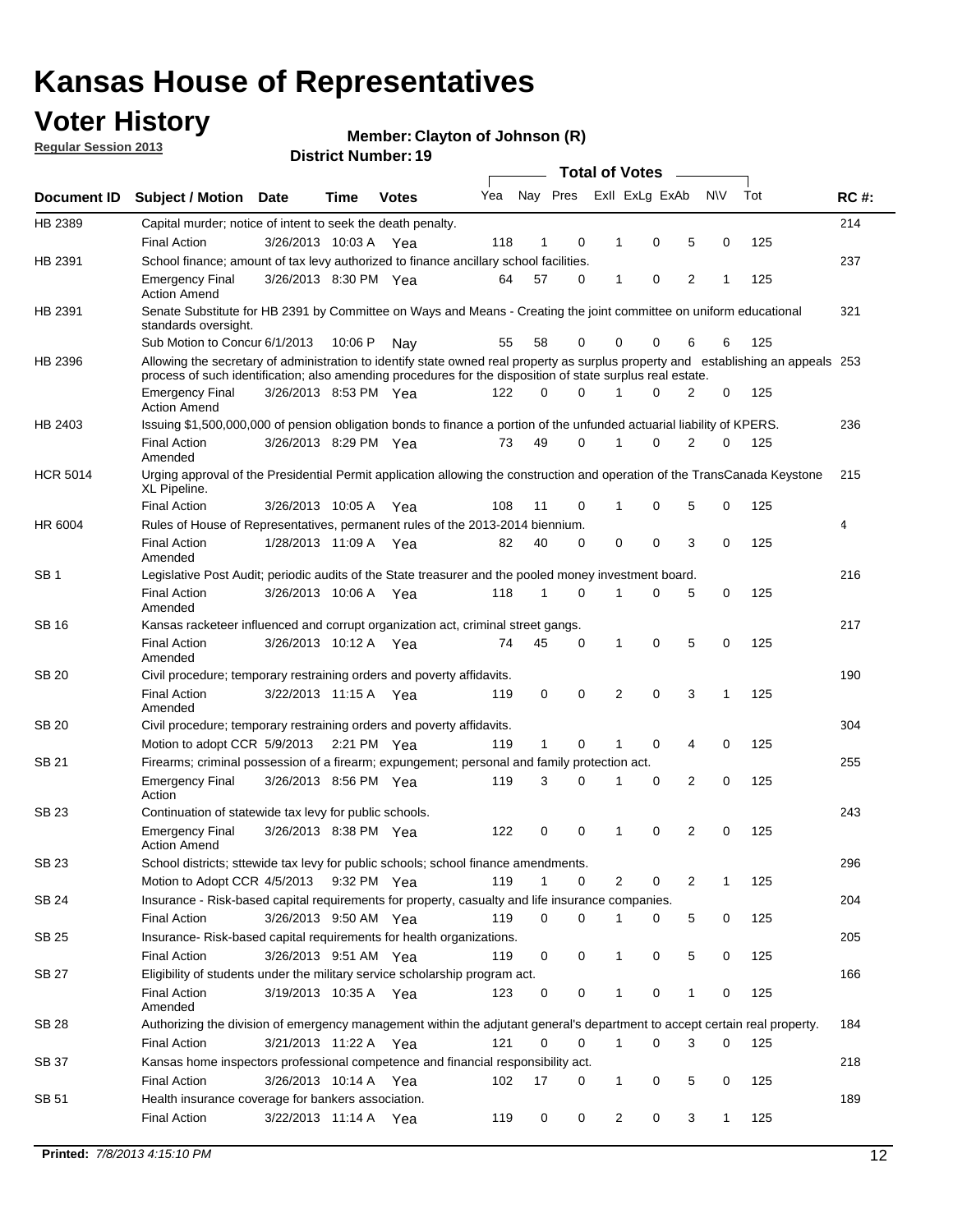## **Voter History**

**Member: Clayton of Johnson (R)** 

**Regular Session 2013**

|                 |                                                                                                                                                                                                                                                  |                       |         |              |     |              |   | <b>Total of Votes</b> |   |   |              |     |             |
|-----------------|--------------------------------------------------------------------------------------------------------------------------------------------------------------------------------------------------------------------------------------------------|-----------------------|---------|--------------|-----|--------------|---|-----------------------|---|---|--------------|-----|-------------|
| Document ID     | <b>Subject / Motion</b>                                                                                                                                                                                                                          | <b>Date</b>           | Time    | <b>Votes</b> | Yea | Nay Pres     |   | Exll ExLg ExAb        |   |   | <b>NV</b>    | Tot | <b>RC#:</b> |
| HB 2389         | Capital murder; notice of intent to seek the death penalty.                                                                                                                                                                                      |                       |         |              |     |              |   |                       |   |   |              |     | 214         |
|                 | <b>Final Action</b>                                                                                                                                                                                                                              | 3/26/2013 10:03 A     |         | Yea          | 118 | 1            | 0 | 1                     | 0 | 5 | 0            | 125 |             |
| HB 2391         | School finance; amount of tax levy authorized to finance ancillary school facilities.                                                                                                                                                            |                       |         |              |     |              |   |                       |   |   |              |     | 237         |
|                 | <b>Emergency Final</b><br><b>Action Amend</b>                                                                                                                                                                                                    | 3/26/2013 8:30 PM Yea |         |              | 64  | 57           | 0 | $\mathbf{1}$          | 0 | 2 | 1            | 125 |             |
| HB 2391         | Senate Substitute for HB 2391 by Committee on Ways and Means - Creating the joint committee on uniform educational<br>standards oversight.                                                                                                       |                       |         |              |     |              |   |                       |   |   |              |     | 321         |
|                 | Sub Motion to Concur 6/1/2013                                                                                                                                                                                                                    |                       | 10:06 P | Nav          | 55  | 58           | 0 | 0                     | 0 | 6 | 6            | 125 |             |
| HB 2396         | Allowing the secretary of administration to identify state owned real property as surplus property and establishing an appeals 253<br>process of such identification; also amending procedures for the disposition of state surplus real estate. |                       |         |              |     |              |   |                       |   |   |              |     |             |
|                 | <b>Emergency Final</b><br><b>Action Amend</b>                                                                                                                                                                                                    | 3/26/2013 8:53 PM Yea |         |              | 122 | 0            | 0 | 1                     | 0 | 2 | 0            | 125 |             |
| HB 2403         | Issuing \$1,500,000,000 of pension obligation bonds to finance a portion of the unfunded actuarial liability of KPERS.                                                                                                                           |                       |         |              |     |              |   |                       |   |   |              |     | 236         |
|                 | <b>Final Action</b><br>Amended                                                                                                                                                                                                                   | 3/26/2013 8:29 PM Yea |         |              | 73  | 49           | 0 | 1                     | 0 | 2 | 0            | 125 |             |
| <b>HCR 5014</b> | Urging approval of the Presidential Permit application allowing the construction and operation of the TransCanada Keystone<br>XL Pipeline.                                                                                                       |                       |         |              |     |              |   |                       |   |   |              |     | 215         |
|                 | <b>Final Action</b>                                                                                                                                                                                                                              | 3/26/2013 10:05 A     |         | Yea          | 108 | 11           | 0 |                       | 0 | 5 | 0            | 125 |             |
| HR 6004         | Rules of House of Representatives, permanent rules of the 2013-2014 biennium.                                                                                                                                                                    |                       |         |              |     |              |   |                       |   |   |              |     | 4           |
|                 | <b>Final Action</b><br>Amended                                                                                                                                                                                                                   | 1/28/2013 11:09 A     |         | Yea          | 82  | 40           | 0 | 0                     | 0 | 3 | 0            | 125 |             |
| SB 1            | Legislative Post Audit; periodic audits of the State treasurer and the pooled money investment board.                                                                                                                                            |                       |         |              |     |              |   |                       |   |   |              |     | 216         |
|                 | <b>Final Action</b><br>Amended                                                                                                                                                                                                                   | 3/26/2013 10:06 A Yea |         |              | 118 | $\mathbf{1}$ | 0 | 1                     | 0 | 5 | 0            | 125 |             |
| SB 16           | Kansas racketeer influenced and corrupt organization act, criminal street gangs.                                                                                                                                                                 |                       |         |              |     |              |   |                       |   |   |              |     | 217         |
|                 | <b>Final Action</b><br>Amended                                                                                                                                                                                                                   | 3/26/2013 10:12 A Yea |         |              | 74  | 45           | 0 | 1                     | 0 | 5 | 0            | 125 |             |
| SB 20           | Civil procedure; temporary restraining orders and poverty affidavits.                                                                                                                                                                            |                       |         |              |     |              |   |                       |   |   |              |     | 190         |
|                 | <b>Final Action</b><br>Amended                                                                                                                                                                                                                   | 3/22/2013 11:15 A     |         | Yea          | 119 | 0            | 0 | 2                     | 0 | 3 | $\mathbf{1}$ | 125 |             |
| <b>SB 20</b>    | Civil procedure; temporary restraining orders and poverty affidavits.                                                                                                                                                                            |                       |         |              |     |              |   |                       |   |   |              |     | 304         |
|                 | Motion to adopt CCR 5/9/2013 2:21 PM Yea                                                                                                                                                                                                         |                       |         |              | 119 | 1            | 0 | 1                     | 0 | 4 | 0            | 125 |             |
| SB 21           | Firearms; criminal possession of a firearm; expungement; personal and family protection act.                                                                                                                                                     |                       |         |              |     |              |   |                       |   |   |              |     | 255         |
|                 | <b>Emergency Final</b><br>Action                                                                                                                                                                                                                 | 3/26/2013 8:56 PM Yea |         |              | 119 | 3            | 0 | 1                     | 0 | 2 | 0            | 125 |             |
| SB 23           | Continuation of statewide tax levy for public schools.                                                                                                                                                                                           |                       |         |              |     |              |   |                       |   |   |              |     | 243         |
|                 | <b>Emergency Final</b><br><b>Action Amend</b>                                                                                                                                                                                                    | 3/26/2013 8:38 PM Yea |         |              | 122 | 0            | 0 | 1                     | 0 | 2 | 0            | 125 |             |
| <b>SB 23</b>    | School districts; sttewide tax levy for public schools; school finance amendments.                                                                                                                                                               |                       |         |              |     |              |   |                       |   |   |              |     | 296         |
|                 | Motion to Adopt CCR 4/5/2013 9:32 PM Yea                                                                                                                                                                                                         |                       |         |              | 119 | $\mathbf{1}$ | 0 | 2                     | 0 | 2 | 1            | 125 |             |
| <b>SB 24</b>    | Insurance - Risk-based capital requirements for property, casualty and life insurance companies.                                                                                                                                                 |                       |         |              |     |              |   |                       |   |   |              |     | 204         |
|                 | <b>Final Action</b>                                                                                                                                                                                                                              | 3/26/2013 9:50 AM Yea |         |              | 119 | 0            | 0 | 1                     | 0 | 5 | 0            | 125 |             |
| SB 25           | Insurance-Risk-based capital requirements for health organizations.                                                                                                                                                                              |                       |         |              |     |              |   |                       |   |   |              |     | 205         |
|                 | <b>Final Action</b>                                                                                                                                                                                                                              | 3/26/2013 9:51 AM Yea |         |              | 119 | 0            | 0 | 1                     | 0 | 5 | 0            | 125 |             |
| SB 27           | Eligibility of students under the military service scholarship program act.                                                                                                                                                                      |                       |         |              |     |              |   |                       |   |   |              |     | 166         |
|                 | <b>Final Action</b><br>Amended                                                                                                                                                                                                                   | 3/19/2013 10:35 A Yea |         |              | 123 | 0            | 0 |                       | 0 | 1 | 0            | 125 |             |
| SB 28           | Authorizing the division of emergency management within the adjutant general's department to accept certain real property.                                                                                                                       |                       |         |              |     |              |   |                       |   |   |              |     | 184         |
|                 | <b>Final Action</b>                                                                                                                                                                                                                              | 3/21/2013 11:22 A Yea |         |              | 121 | $\Omega$     | 0 | $\mathbf{1}$          | 0 | 3 | $\Omega$     | 125 |             |
| SB 37           | Kansas home inspectors professional competence and financial responsibility act.                                                                                                                                                                 |                       |         |              |     |              |   |                       |   |   |              |     | 218         |
|                 | <b>Final Action</b>                                                                                                                                                                                                                              | 3/26/2013 10:14 A Yea |         |              | 102 | 17           | 0 | 1                     | 0 | 5 | 0            | 125 |             |
| SB 51           | Health insurance coverage for bankers association.                                                                                                                                                                                               |                       |         |              |     |              |   |                       |   |   |              |     | 189         |
|                 | <b>Final Action</b>                                                                                                                                                                                                                              | 3/22/2013 11:14 A Yea |         |              | 119 | 0            | 0 | $\overline{2}$        | 0 | 3 | 1            | 125 |             |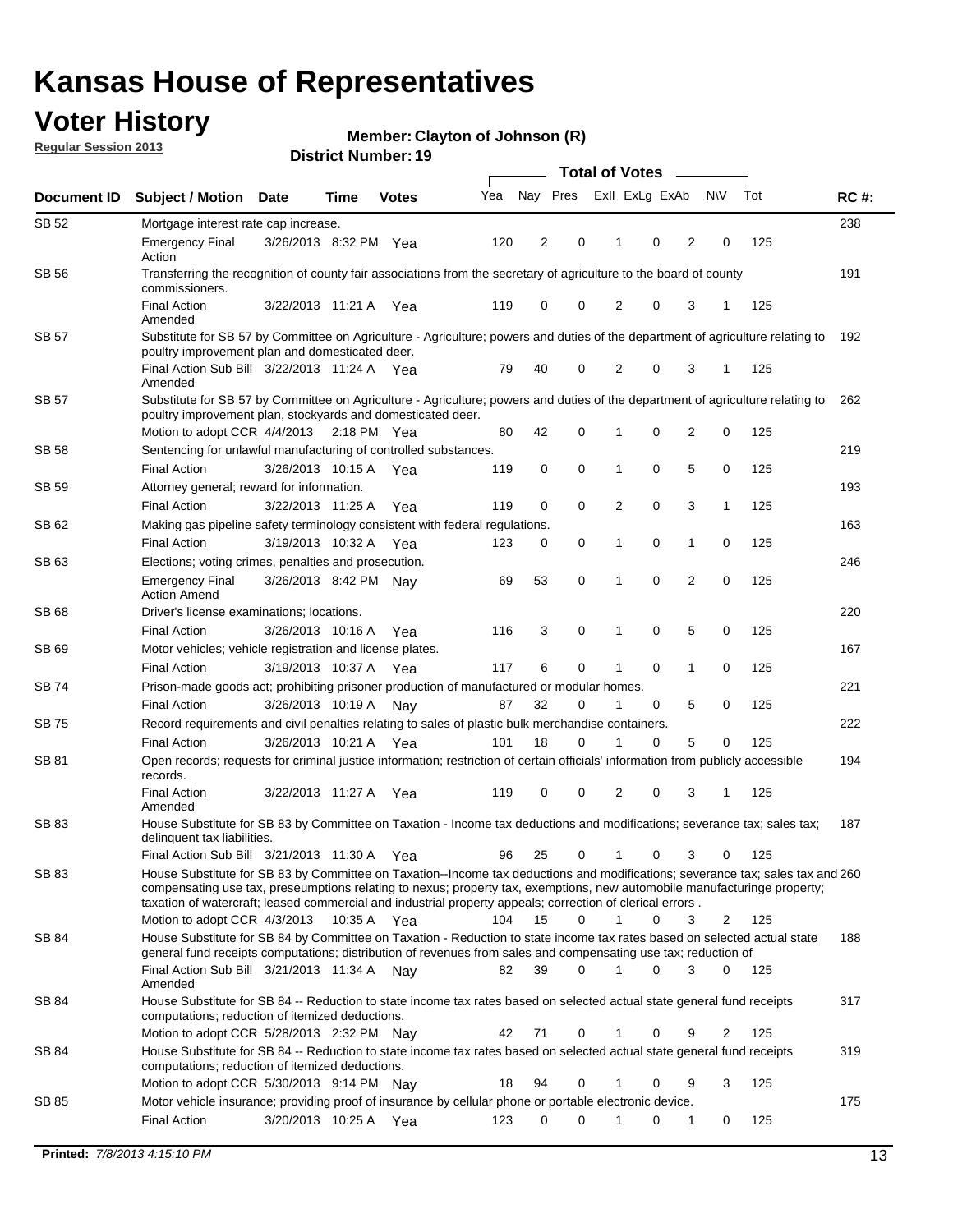## **Voter History**

**Member: Clayton of Johnson (R)** 

**Regular Session 2013**

|              |                                                                                                                                                                                                                                                                                                                                                                         |                       |              |     | <b>Total of Votes</b> |             |                |                |                |              |     |             |  |
|--------------|-------------------------------------------------------------------------------------------------------------------------------------------------------------------------------------------------------------------------------------------------------------------------------------------------------------------------------------------------------------------------|-----------------------|--------------|-----|-----------------------|-------------|----------------|----------------|----------------|--------------|-----|-------------|--|
| Document ID  | <b>Subject / Motion Date</b>                                                                                                                                                                                                                                                                                                                                            | Time                  | <b>Votes</b> | Yea | Nay Pres              |             |                | Exll ExLg ExAb |                | <b>NV</b>    | Tot | <b>RC#:</b> |  |
| SB 52        | Mortgage interest rate cap increase.                                                                                                                                                                                                                                                                                                                                    |                       |              |     |                       |             |                |                |                |              |     | 238         |  |
|              | <b>Emergency Final</b><br>Action                                                                                                                                                                                                                                                                                                                                        | 3/26/2013 8:32 PM Yea |              | 120 | 2                     | 0           |                | 0              | $\overline{2}$ | 0            | 125 |             |  |
| <b>SB 56</b> | Transferring the recognition of county fair associations from the secretary of agriculture to the board of county<br>commissioners.                                                                                                                                                                                                                                     |                       |              |     |                       |             |                |                |                |              |     | 191         |  |
|              | <b>Final Action</b><br>Amended                                                                                                                                                                                                                                                                                                                                          | 3/22/2013 11:21 A Yea |              | 119 | 0                     | 0           | 2              | 0              | 3              | 1            | 125 |             |  |
| <b>SB 57</b> | Substitute for SB 57 by Committee on Agriculture - Agriculture; powers and duties of the department of agriculture relating to<br>poultry improvement plan and domesticated deer.                                                                                                                                                                                       |                       |              |     |                       |             |                |                |                |              |     | 192         |  |
|              | Final Action Sub Bill 3/22/2013 11:24 A Yea<br>Amended                                                                                                                                                                                                                                                                                                                  |                       |              | 79  | 40                    | 0           | 2              | 0              | 3              | 1            | 125 |             |  |
| SB 57        | Substitute for SB 57 by Committee on Agriculture - Agriculture; powers and duties of the department of agriculture relating to<br>poultry improvement plan, stockyards and domesticated deer.                                                                                                                                                                           |                       |              |     |                       |             |                |                |                |              |     | 262         |  |
|              | Motion to adopt CCR 4/4/2013 2:18 PM Yea                                                                                                                                                                                                                                                                                                                                |                       |              | 80  | 42                    | 0           | 1              | 0              | 2              | 0            | 125 |             |  |
| SB 58        | Sentencing for unlawful manufacturing of controlled substances.                                                                                                                                                                                                                                                                                                         |                       |              |     |                       |             |                |                |                |              |     | 219         |  |
|              | <b>Final Action</b>                                                                                                                                                                                                                                                                                                                                                     | 3/26/2013 10:15 A     | Yea          | 119 | 0                     | $\mathbf 0$ | 1              | 0              | 5              | 0            | 125 |             |  |
| SB 59        | Attorney general; reward for information.                                                                                                                                                                                                                                                                                                                               |                       |              |     |                       |             |                |                |                |              |     | 193         |  |
|              | <b>Final Action</b>                                                                                                                                                                                                                                                                                                                                                     | 3/22/2013 11:25 A     | Yea          | 119 | 0                     | 0           | $\overline{2}$ | 0              | 3              | $\mathbf{1}$ | 125 |             |  |
| SB 62        | Making gas pipeline safety terminology consistent with federal regulations.                                                                                                                                                                                                                                                                                             |                       |              |     |                       |             |                |                |                |              |     | 163         |  |
|              | <b>Final Action</b>                                                                                                                                                                                                                                                                                                                                                     | 3/19/2013 10:32 A     | Yea          | 123 | 0                     | 0           | 1              | 0              | 1              | 0            | 125 |             |  |
| SB 63        | Elections; voting crimes, penalties and prosecution.                                                                                                                                                                                                                                                                                                                    |                       |              |     |                       |             |                |                |                |              |     | 246         |  |
|              | <b>Emergency Final</b><br><b>Action Amend</b>                                                                                                                                                                                                                                                                                                                           | 3/26/2013 8:42 PM Nav |              | 69  | 53                    | $\mathbf 0$ | 1              | 0              | $\overline{2}$ | 0            | 125 |             |  |
| SB 68        | Driver's license examinations; locations.                                                                                                                                                                                                                                                                                                                               |                       |              | 116 |                       | 0           |                | 0              | 5              |              |     | 220         |  |
| SB 69        | <b>Final Action</b>                                                                                                                                                                                                                                                                                                                                                     | 3/26/2013 10:16 A     | Yea          |     | 3                     |             | 1              |                |                | 0            | 125 | 167         |  |
|              | Motor vehicles; vehicle registration and license plates.<br><b>Final Action</b>                                                                                                                                                                                                                                                                                         | 3/19/2013 10:37 A     |              | 117 | 6                     | 0           | 1              | 0              | 1              | 0            | 125 |             |  |
| SB 74        |                                                                                                                                                                                                                                                                                                                                                                         |                       | Yea          |     |                       |             |                |                |                |              |     | 221         |  |
|              | Prison-made goods act; prohibiting prisoner production of manufactured or modular homes.<br><b>Final Action</b>                                                                                                                                                                                                                                                         | 3/26/2013 10:19 A     |              | 87  | 32                    | 0           | 1              | 0              | 5              | 0            | 125 |             |  |
| <b>SB 75</b> | Record requirements and civil penalties relating to sales of plastic bulk merchandise containers.                                                                                                                                                                                                                                                                       |                       | Nay          |     |                       |             |                |                |                |              |     | 222         |  |
|              | <b>Final Action</b>                                                                                                                                                                                                                                                                                                                                                     | 3/26/2013 10:21 A     | Yea          | 101 | 18                    | 0           | 1              | 0              | 5              | 0            | 125 |             |  |
| SB 81        | Open records; requests for criminal justice information; restriction of certain officials' information from publicly accessible                                                                                                                                                                                                                                         |                       |              |     |                       |             |                |                |                |              |     | 194         |  |
|              | records.<br><b>Final Action</b>                                                                                                                                                                                                                                                                                                                                         | 3/22/2013 11:27 A     | Yea          | 119 | 0                     | 0           | 2              | 0              | 3              | 1            | 125 |             |  |
|              | Amended                                                                                                                                                                                                                                                                                                                                                                 |                       |              |     |                       |             |                |                |                |              |     |             |  |
| SB 83        | House Substitute for SB 83 by Committee on Taxation - Income tax deductions and modifications; severance tax; sales tax;<br>delinquent tax liabilities.                                                                                                                                                                                                                 |                       |              |     |                       |             |                |                |                |              |     | 187         |  |
|              | Final Action Sub Bill 3/21/2013 11:30 A                                                                                                                                                                                                                                                                                                                                 |                       | Yea          | 96  | 25                    | 0           | 1              | 0              | 3              | 0            | 125 |             |  |
| SB 83        | House Substitute for SB 83 by Committee on Taxation--Income tax deductions and modifications; severance tax; sales tax and 260<br>compensating use tax, preseumptions relating to nexus; property tax, exemptions, new automobile manufacturinge property;<br>taxation of watercraft; leased commercial and industrial property appeals; correction of clerical errors. |                       |              |     |                       |             |                |                |                |              |     |             |  |
|              | Motion to adopt CCR 4/3/2013                                                                                                                                                                                                                                                                                                                                            | 10:35 A Yea           |              | 104 | 15                    | 0           | 1              | 0              | 3              | 2            | 125 |             |  |
| SB 84        | House Substitute for SB 84 by Committee on Taxation - Reduction to state income tax rates based on selected actual state<br>general fund receipts computations; distribution of revenues from sales and compensating use tax; reduction of<br>Final Action Sub Bill 3/21/2013 11:34 A Nay                                                                               |                       |              | 82  | 39                    | $\Omega$    | $\mathbf{1}$   | 0              | 3              | 0            | 125 | 188         |  |
|              | Amended                                                                                                                                                                                                                                                                                                                                                                 |                       |              |     |                       |             |                |                |                |              |     |             |  |
| SB 84        | House Substitute for SB 84 -- Reduction to state income tax rates based on selected actual state general fund receipts<br>computations; reduction of itemized deductions.                                                                                                                                                                                               |                       |              |     |                       |             |                |                |                |              |     | 317         |  |
|              | Motion to adopt CCR 5/28/2013 2:32 PM Nav                                                                                                                                                                                                                                                                                                                               |                       |              | 42  | 71                    | 0           | 1              | 0              | 9              | 2            | 125 |             |  |
| SB 84        | House Substitute for SB 84 -- Reduction to state income tax rates based on selected actual state general fund receipts<br>computations; reduction of itemized deductions.                                                                                                                                                                                               |                       |              |     |                       |             |                |                |                |              |     | 319         |  |
|              | Motion to adopt CCR 5/30/2013 9:14 PM Nay                                                                                                                                                                                                                                                                                                                               |                       |              | 18  | 94                    | 0           |                | 0              | 9              | 3            | 125 |             |  |
| SB 85        | Motor vehicle insurance; providing proof of insurance by cellular phone or portable electronic device.                                                                                                                                                                                                                                                                  |                       |              |     |                       |             |                |                |                |              |     | 175         |  |
|              | <b>Final Action</b>                                                                                                                                                                                                                                                                                                                                                     | 3/20/2013 10:25 A Yea |              | 123 | 0                     | 0           | 1              | 0              | 1              | 0            | 125 |             |  |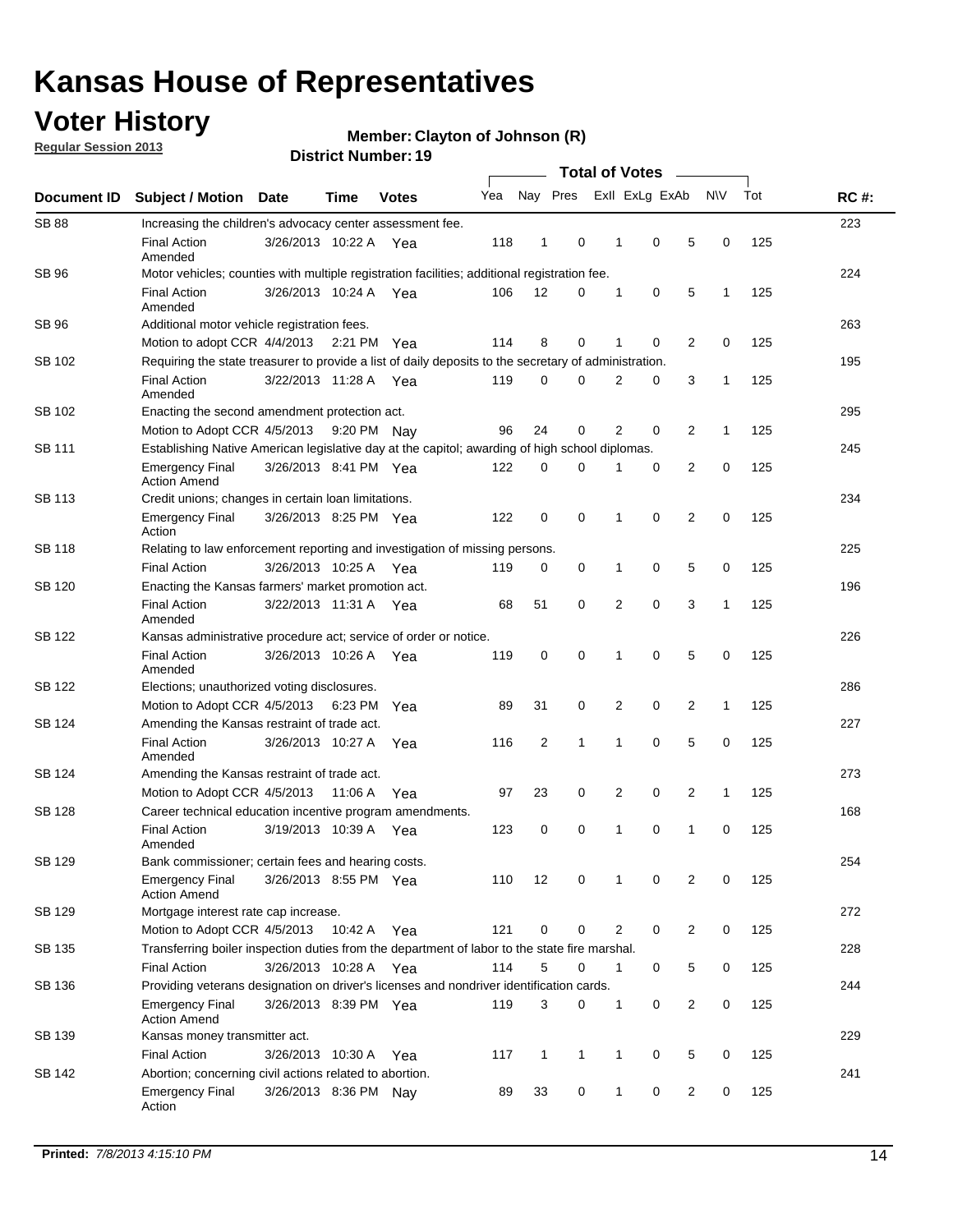## **Voter History**

**Regular Session 2013**

#### **Member: Clayton of Johnson (R)**

| Document ID   | <b>Subject / Motion Date</b>                                                                          |                       | Time    | <b>Votes</b> | Yea | Nay Pres       |              | Exll ExLg ExAb |             |     | N\V          | Tot | <b>RC#:</b> |  |  |  |  |  |  |
|---------------|-------------------------------------------------------------------------------------------------------|-----------------------|---------|--------------|-----|----------------|--------------|----------------|-------------|-----|--------------|-----|-------------|--|--|--|--|--|--|
| <b>SB 88</b>  | Increasing the children's advocacy center assessment fee.                                             |                       |         |              |     |                |              |                |             |     |              |     | 223         |  |  |  |  |  |  |
|               | <b>Final Action</b><br>Amended                                                                        | 3/26/2013 10:22 A     |         | Yea          | 118 | $\mathbf{1}$   | 0            | $\mathbf 1$    | 0           | 5   | 0            | 125 |             |  |  |  |  |  |  |
| SB 96         | Motor vehicles; counties with multiple registration facilities; additional registration fee.          |                       |         |              |     |                |              |                |             |     |              |     | 224         |  |  |  |  |  |  |
|               | <b>Final Action</b><br>Amended                                                                        | 3/26/2013 10:24 A Yea |         |              | 106 | 12             | 0            | 1              | 0           | 5   | 1            | 125 |             |  |  |  |  |  |  |
| SB 96         | Additional motor vehicle registration fees.                                                           |                       |         |              |     |                |              |                |             |     |              |     | 263         |  |  |  |  |  |  |
|               | Motion to adopt CCR 4/4/2013 2:21 PM Yea                                                              |                       |         |              | 114 | 8              | 0            | 1              | 0           | 2   | $\mathbf 0$  | 125 |             |  |  |  |  |  |  |
| SB 102        | Requiring the state treasurer to provide a list of daily deposits to the secretary of administration. |                       |         |              |     |                |              |                |             |     |              |     | 195         |  |  |  |  |  |  |
|               | <b>Final Action</b><br>Amended                                                                        | 3/22/2013 11:28 A Yea |         |              | 119 | 0              | $\mathbf 0$  | $\overline{2}$ | 0           | 3   | 1            | 125 |             |  |  |  |  |  |  |
| SB 102        | Enacting the second amendment protection act.                                                         |                       |         |              |     |                |              |                |             |     |              |     |             |  |  |  |  |  |  |
|               | Motion to Adopt CCR 4/5/2013                                                                          |                       |         | 9:20 PM Nay  | 96  | 24             | 0            | 2              | 0           | 2   | $\mathbf{1}$ | 125 |             |  |  |  |  |  |  |
| SB 111        | Establishing Native American legislative day at the capitol; awarding of high school diplomas.        |                       |         |              |     |                |              |                |             |     |              |     |             |  |  |  |  |  |  |
|               | <b>Emergency Final</b><br><b>Action Amend</b>                                                         | 3/26/2013 8:41 PM Yea |         |              | 122 | 0              | 0            | 1              | 0           | 2   | 0            | 125 |             |  |  |  |  |  |  |
| SB 113        | Credit unions; changes in certain loan limitations.                                                   |                       |         |              |     |                |              |                |             |     |              |     | 234         |  |  |  |  |  |  |
|               | <b>Emergency Final</b><br>Action                                                                      | 3/26/2013 8:25 PM Yea |         |              | 122 | 0              | 0            | 1              | 0           | 2   | 0            | 125 |             |  |  |  |  |  |  |
| SB 118        | Relating to law enforcement reporting and investigation of missing persons.                           |                       |         |              |     |                |              |                |             |     |              |     | 225         |  |  |  |  |  |  |
|               | <b>Final Action</b>                                                                                   | 3/26/2013 10:25 A Yea |         |              | 119 | 0              | 0            | 1              | 0           | 5   | 0            | 125 |             |  |  |  |  |  |  |
| SB 120        | Enacting the Kansas farmers' market promotion act.                                                    |                       |         |              |     |                |              |                |             |     |              |     | 196         |  |  |  |  |  |  |
|               | <b>Final Action</b><br>Amended                                                                        | 3/22/2013 11:31 A Yea |         |              | 68  | 51             | 0            | $\overline{2}$ | $\mathbf 0$ | 3   | 1            | 125 |             |  |  |  |  |  |  |
| SB 122        | Kansas administrative procedure act; service of order or notice.                                      |                       |         |              |     |                |              |                |             |     |              |     | 226         |  |  |  |  |  |  |
|               | <b>Final Action</b><br>Amended                                                                        | 3/26/2013 10:26 A     |         | Yea          | 119 | 0              | 0            | 1              | $\mathbf 0$ | 5   | 0            | 125 |             |  |  |  |  |  |  |
| SB 122        | Elections; unauthorized voting disclosures.                                                           |                       |         |              |     |                |              |                |             |     |              |     |             |  |  |  |  |  |  |
|               | Motion to Adopt CCR 4/5/2013                                                                          |                       | 6:23 PM | Yea          | 89  | 31             | 0            | 2              | 0           | 2   | 1            | 125 |             |  |  |  |  |  |  |
| SB 124        | Amending the Kansas restraint of trade act.                                                           |                       |         |              |     |                |              |                |             |     |              |     | 227         |  |  |  |  |  |  |
|               | <b>Final Action</b><br>Amended                                                                        | 3/26/2013 10:27 A     |         | Yea          | 116 | $\overline{2}$ | $\mathbf{1}$ | 1              | 0           | 5   | 0            | 125 |             |  |  |  |  |  |  |
| SB 124        | Amending the Kansas restraint of trade act.                                                           |                       |         |              |     |                |              |                |             | 273 |              |     |             |  |  |  |  |  |  |
|               | Motion to Adopt CCR 4/5/2013                                                                          |                       | 11:06 A | Yea          | 97  | 23             | 0            | 2              | 0           | 2   | $\mathbf{1}$ | 125 |             |  |  |  |  |  |  |
| <b>SB 128</b> | Career technical education incentive program amendments.                                              |                       |         |              |     |                |              |                |             |     |              |     | 168         |  |  |  |  |  |  |
|               | <b>Final Action</b><br>Amended                                                                        | 3/19/2013 10:39 A     |         | Yea          | 123 | 0              | 0            | 1              | 0           | 1   | 0            | 125 |             |  |  |  |  |  |  |
| <b>SB 129</b> | Bank commissioner: certain fees and hearing costs.                                                    |                       |         |              |     |                |              |                |             |     |              |     | 254         |  |  |  |  |  |  |
|               | Emergency Final<br><b>Action Amend</b>                                                                | 3/26/2013 8:55 PM Yea |         |              | 110 | 12             | 0            | 1              | 0           | 2   | 0            | 125 |             |  |  |  |  |  |  |
| SB 129        | Mortgage interest rate cap increase.                                                                  |                       |         |              |     |                |              |                |             |     |              |     | 272         |  |  |  |  |  |  |
|               | Motion to Adopt CCR 4/5/2013                                                                          |                       | 10:42 A | Yea          | 121 | 0              | 0            | 2              | 0           | 2   | 0            | 125 |             |  |  |  |  |  |  |
| SB 135        | Transferring boiler inspection duties from the department of labor to the state fire marshal.         |                       |         |              |     |                |              |                |             |     |              |     | 228         |  |  |  |  |  |  |
|               | <b>Final Action</b>                                                                                   | 3/26/2013 10:28 A Yea |         |              | 114 | 5              | 0            | 1              | 0           | 5   | 0            | 125 |             |  |  |  |  |  |  |
| SB 136        | Providing veterans designation on driver's licenses and nondriver identification cards.               |                       |         |              |     |                |              |                |             |     |              |     | 244         |  |  |  |  |  |  |
|               | <b>Emergency Final</b><br><b>Action Amend</b>                                                         | 3/26/2013 8:39 PM Yea |         |              | 119 | 3              | 0            | 1              | 0           | 2   | 0            | 125 |             |  |  |  |  |  |  |
| SB 139        | Kansas money transmitter act.                                                                         |                       |         |              |     |                |              |                |             |     |              |     | 229         |  |  |  |  |  |  |
|               | <b>Final Action</b>                                                                                   | 3/26/2013 10:30 A     |         | Yea          | 117 | 1              | 1            | 1              | 0           | 5   | 0            | 125 |             |  |  |  |  |  |  |
| SB 142        | Abortion; concerning civil actions related to abortion.                                               |                       |         |              |     |                |              |                |             |     |              |     | 241         |  |  |  |  |  |  |
|               | <b>Emergency Final</b><br>Action                                                                      | 3/26/2013 8:36 PM Nay |         |              | 89  | 33             | 0            | 1              | 0           | 2   | 0            | 125 |             |  |  |  |  |  |  |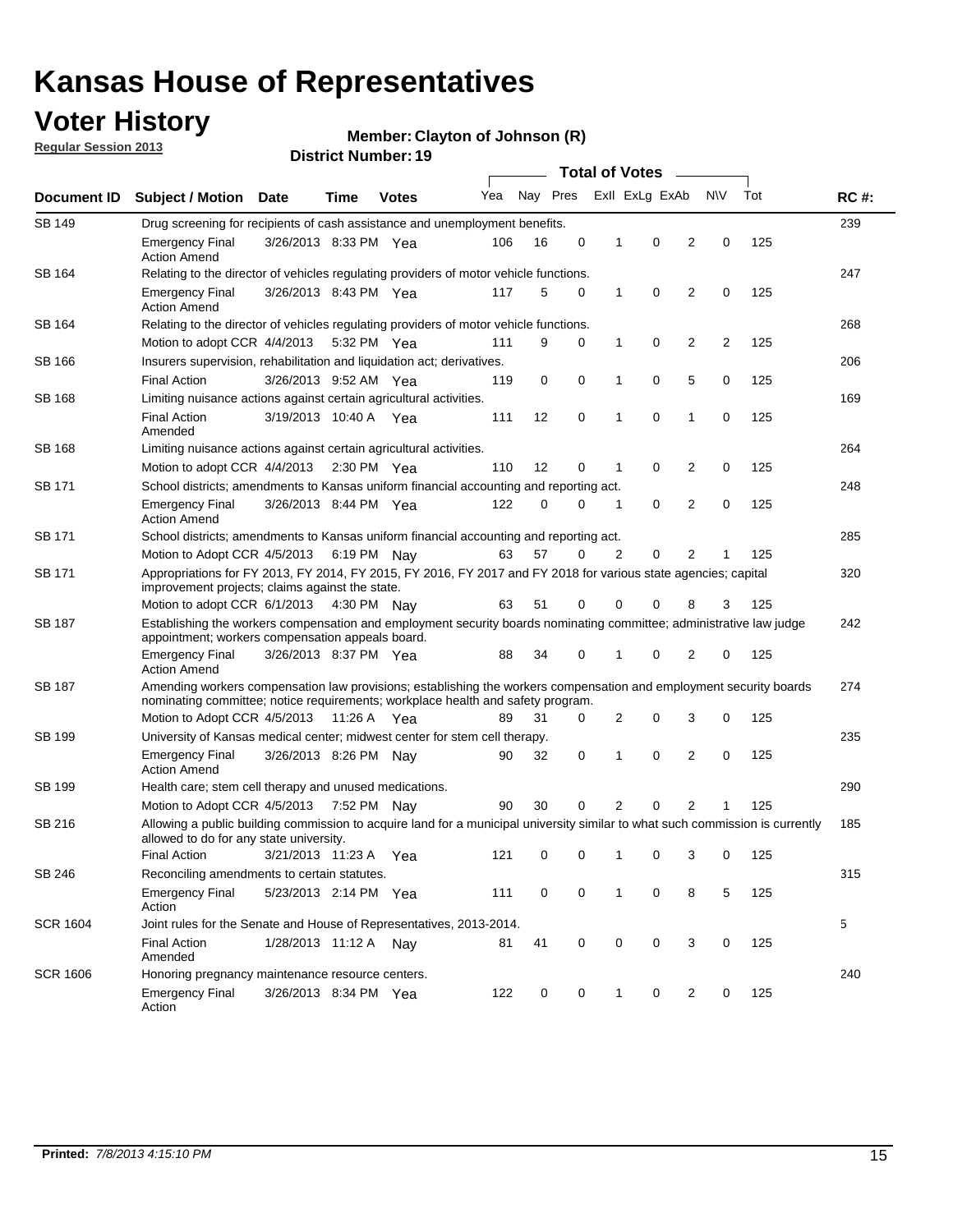## **Voter History**

**Member: Clayton of Johnson (R)** 

**Regular Session 2013**

|                 |                                                                                                                                                                                                       |                       |                       |              |     |          |             | <b>Total of Votes</b> |                |                |           |     |             |  |  |  |  |
|-----------------|-------------------------------------------------------------------------------------------------------------------------------------------------------------------------------------------------------|-----------------------|-----------------------|--------------|-----|----------|-------------|-----------------------|----------------|----------------|-----------|-----|-------------|--|--|--|--|
| Document ID     | <b>Subject / Motion</b>                                                                                                                                                                               | <b>Date</b>           | Time                  | <b>Votes</b> | Yea | Nay Pres |             |                       | Exll ExLg ExAb |                | <b>NV</b> | Tot | <b>RC#:</b> |  |  |  |  |
| SB 149          | 239<br>Drug screening for recipients of cash assistance and unemployment benefits.                                                                                                                    |                       |                       |              |     |          |             |                       |                |                |           |     |             |  |  |  |  |
|                 | <b>Emergency Final</b><br><b>Action Amend</b>                                                                                                                                                         | 3/26/2013 8:33 PM Yea |                       |              | 106 | 16       | 0           | 1                     | 0              | 2              | 0         | 125 |             |  |  |  |  |
| SB 164          | Relating to the director of vehicles regulating providers of motor vehicle functions.                                                                                                                 |                       |                       |              |     |          |             |                       |                |                |           |     | 247         |  |  |  |  |
|                 | <b>Emergency Final</b><br><b>Action Amend</b>                                                                                                                                                         | 3/26/2013 8:43 PM Yea |                       |              | 117 | 5        | 0           | 1                     | 0              | 2              | 0         | 125 |             |  |  |  |  |
| SB 164          | Relating to the director of vehicles regulating providers of motor vehicle functions.                                                                                                                 |                       |                       |              |     |          |             |                       |                |                |           |     | 268         |  |  |  |  |
|                 | Motion to adopt CCR 4/4/2013 5:32 PM Yea                                                                                                                                                              |                       |                       |              | 111 | 9        | 0           | 1                     | 0              | 2              | 2         | 125 |             |  |  |  |  |
| SB 166          | Insurers supervision, rehabilitation and liquidation act; derivatives.                                                                                                                                |                       |                       |              |     |          |             |                       |                |                |           |     | 206         |  |  |  |  |
|                 | <b>Final Action</b>                                                                                                                                                                                   | 3/26/2013 9:52 AM Yea |                       |              | 119 | 0        | $\mathbf 0$ | 1                     | 0              | 5              | 0         | 125 |             |  |  |  |  |
| SB 168          | Limiting nuisance actions against certain agricultural activities.                                                                                                                                    |                       |                       |              |     |          |             |                       |                |                |           |     | 169         |  |  |  |  |
|                 | Final Action<br>Amended                                                                                                                                                                               | 3/19/2013 10:40 A Yea |                       |              | 111 | 12       | 0           | 1                     | 0              | 1              | 0         | 125 |             |  |  |  |  |
| SB 168          | Limiting nuisance actions against certain agricultural activities.                                                                                                                                    |                       |                       |              |     |          |             |                       |                |                |           |     | 264         |  |  |  |  |
|                 | Motion to adopt CCR 4/4/2013                                                                                                                                                                          |                       | $2:30 \text{ PM}$ Yea |              | 110 | 12       | 0           | 1                     | 0              | 2              | 0         | 125 |             |  |  |  |  |
| SB 171          | School districts; amendments to Kansas uniform financial accounting and reporting act.                                                                                                                |                       |                       |              |     |          |             |                       |                |                |           |     | 248         |  |  |  |  |
|                 | <b>Emergency Final</b><br><b>Action Amend</b>                                                                                                                                                         | 3/26/2013 8:44 PM Yea |                       |              | 122 | 0        | 0           | 1                     | 0              | $\overline{2}$ | 0         | 125 |             |  |  |  |  |
| SB 171          | School districts; amendments to Kansas uniform financial accounting and reporting act.                                                                                                                |                       |                       |              |     |          |             |                       |                |                |           |     | 285         |  |  |  |  |
|                 | Motion to Adopt CCR 4/5/2013 6:19 PM Nay                                                                                                                                                              |                       |                       |              | 63  | 57       | 0           | 2                     | 0              | 2<br>125       |           |     |             |  |  |  |  |
| SB 171          | Appropriations for FY 2013, FY 2014, FY 2015, FY 2016, FY 2017 and FY 2018 for various state agencies; capital<br>improvement projects; claims against the state.                                     |                       |                       |              |     |          |             |                       |                |                |           |     | 320         |  |  |  |  |
|                 | Motion to adopt CCR 6/1/2013 4:30 PM Nay                                                                                                                                                              |                       |                       |              | 63  | 51       | 0           | 0                     | 0              | 8              | 3         | 125 |             |  |  |  |  |
| SB 187          | Establishing the workers compensation and employment security boards nominating committee; administrative law judge<br>appointment; workers compensation appeals board.                               |                       |                       |              |     |          |             |                       |                |                |           | 242 |             |  |  |  |  |
|                 | <b>Emergency Final</b><br><b>Action Amend</b>                                                                                                                                                         | 3/26/2013 8:37 PM Yea |                       |              | 88  | 34       | 0           | 1                     | 0              | 2              | 0         | 125 |             |  |  |  |  |
| SB 187          | Amending workers compensation law provisions; establishing the workers compensation and employment security boards<br>nominating committee; notice requirements; workplace health and safety program. |                       |                       |              |     |          |             |                       |                |                |           |     | 274         |  |  |  |  |
|                 | Motion to Adopt CCR 4/5/2013 11:26 A Yea                                                                                                                                                              |                       |                       |              | 89  | 31       | 0           | 2                     | 0              | 3              | 0         | 125 |             |  |  |  |  |
| SB 199          | University of Kansas medical center; midwest center for stem cell therapy.                                                                                                                            |                       |                       |              |     |          |             |                       |                |                |           |     | 235         |  |  |  |  |
|                 | <b>Emergency Final</b><br><b>Action Amend</b>                                                                                                                                                         | 3/26/2013 8:26 PM Nay |                       |              | 90  | 32       | 0           | 1                     | 0              | 2              | 0         | 125 |             |  |  |  |  |
| SB 199          | Health care; stem cell therapy and unused medications.                                                                                                                                                |                       |                       |              |     |          |             |                       |                |                |           |     | 290         |  |  |  |  |
|                 | Motion to Adopt CCR 4/5/2013                                                                                                                                                                          |                       | 7:52 PM Nay           |              | 90  | 30       | 0           | 2                     | 0              | $\overline{2}$ |           | 125 |             |  |  |  |  |
| SB 216          | Allowing a public building commission to acquire land for a municipal university similar to what such commission is currently<br>allowed to do for any state university.                              |                       |                       |              |     |          |             |                       |                |                |           |     | 185         |  |  |  |  |
|                 | <b>Final Action</b>                                                                                                                                                                                   | 3/21/2013 11:23 A     |                       | - Yea        | 121 | 0        | 0           | 1                     | 0              | 3              | 0         | 125 |             |  |  |  |  |
| SB 246          | Reconciling amendments to certain statutes.                                                                                                                                                           |                       |                       |              |     |          |             |                       |                |                |           |     | 315         |  |  |  |  |
|                 | <b>Emergency Final</b><br>Action                                                                                                                                                                      | 5/23/2013 2:14 PM Yea |                       |              | 111 | 0        | 0           | 1                     | 0              | 8              | 5         | 125 |             |  |  |  |  |
| <b>SCR 1604</b> | Joint rules for the Senate and House of Representatives, 2013-2014.                                                                                                                                   |                       |                       |              |     |          |             |                       |                |                |           |     | 5           |  |  |  |  |
|                 | <b>Final Action</b><br>Amended                                                                                                                                                                        | 1/28/2013 11:12 A Nay |                       |              | 81  | 41       | 0           | 0                     | 0              | 3              | 0         | 125 |             |  |  |  |  |
| <b>SCR 1606</b> | Honoring pregnancy maintenance resource centers.                                                                                                                                                      |                       |                       |              |     |          |             |                       |                |                |           |     | 240         |  |  |  |  |
|                 | <b>Emergency Final</b><br>Action                                                                                                                                                                      | 3/26/2013 8:34 PM Yea |                       |              | 122 | 0        | 0           | 1                     | 0              | 2              | 0         | 125 |             |  |  |  |  |